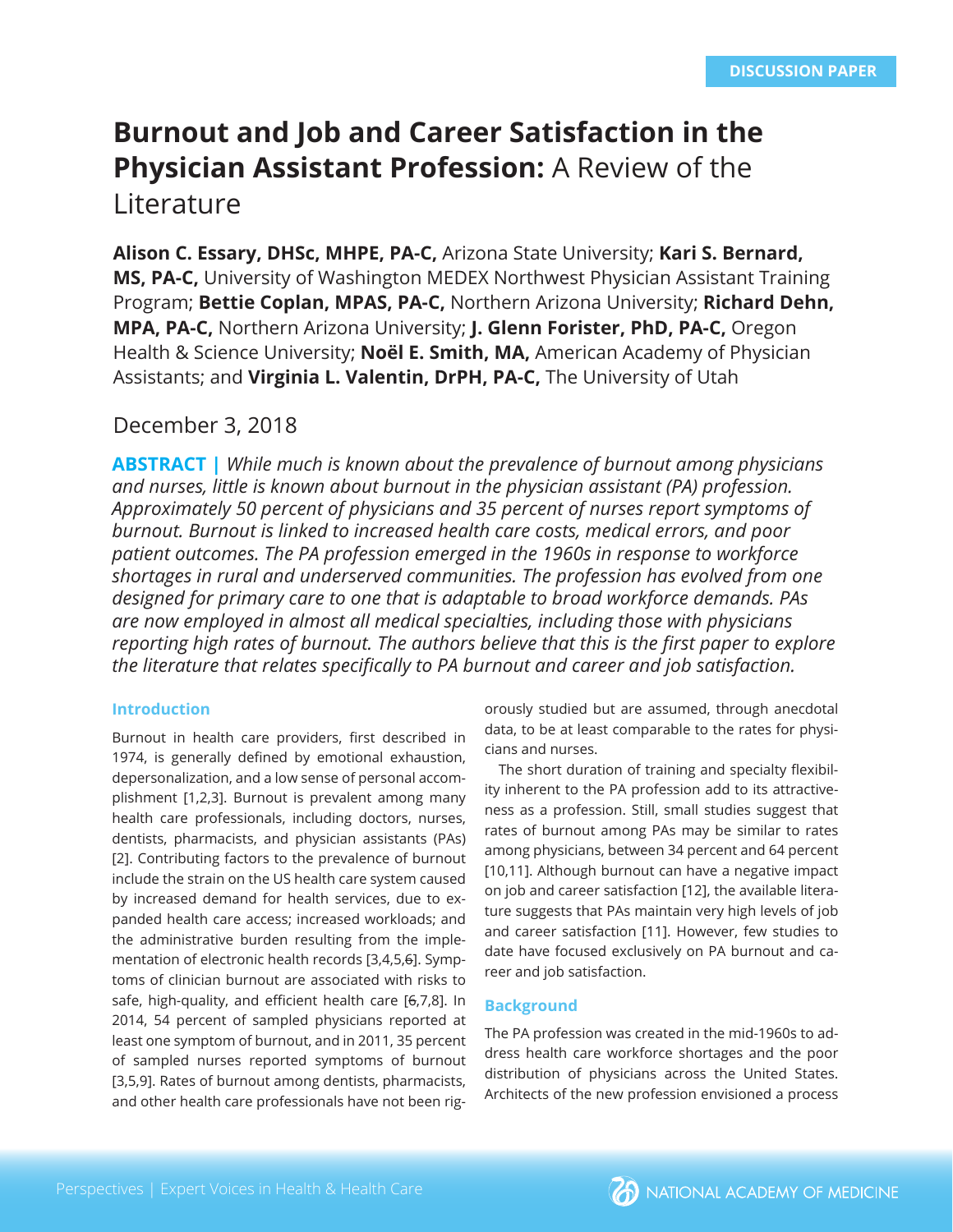# **Burnout and Job and Career Satisfaction in the Physician Assistant Profession:** A Review of the

Literature

**Alison C. Essary, DHSc, MHPE, PA-C,** Arizona State University; **Kari S. Bernard, MS, PA-C,** University of Washington MEDEX Northwest Physician Assistant Training Program; **Bettie Coplan, MPAS, PA-C,** Northern Arizona University; **Richard Dehn, MPA, PA-C,** Northern Arizona University; **J. Glenn Forister, PhD, PA-C,** Oregon Health & Science University; **Noël E. Smith, MA,** American Academy of Physician Assistants; and **Virginia L. Valentin, DrPH, PA-C,** The University of Utah

# December 3, 2018

**ABSTRACT |** *While much is known about the prevalence of burnout among physicians and nurses, little is known about burnout in the physician assistant (PA) profession. Approximately 50 percent of physicians and 35 percent of nurses report symptoms of burnout. Burnout is linked to increased health care costs, medical errors, and poor patient outcomes. The PA profession emerged in the 1960s in response to workforce shortages in rural and underserved communities. The profession has evolved from one designed for primary care to one that is adaptable to broad workforce demands. PAs are now employed in almost all medical specialties, including those with physicians*  reporting high rates of burnout. The authors believe that this is the first paper to explore *the literature that relates specifi cally to PA burnout and career and job satisfaction.*

# **Introduction**

Burnout in health care providers, first described in 1974, is generally defined by emotional exhaustion, depersonalization, and a low sense of personal accomplishment [1,2,3]. Burnout is prevalent among many health care professionals, including doctors, nurses, dentists, pharmacists, and physician assistants (PAs) [2]. Contributing factors to the prevalence of burnout include the strain on the US health care system caused by increased demand for health services, due to expanded health care access; increased workloads; and the administrative burden resulting from the implementation of electronic health records [3,4,5,6]. Symptoms of clinician burnout are associated with risks to safe, high-quality, and efficient health care [6,7,8]. In 2014, 54 percent of sampled physicians reported at least one symptom of burnout, and in 2011, 35 percent of sampled nurses reported symptoms of burnout [3,5,9]. Rates of burnout among dentists, pharmacists, and other health care professionals have not been rigorously studied but are assumed, through anecdotal data, to be at least comparable to the rates for physicians and nurses.

The short duration of training and specialty flexibility inherent to the PA profession add to its attractiveness as a profession. Still, small studies suggest that rates of burnout among PAs may be similar to rates among physicians, between 34 percent and 64 percent [10,11]. Although burnout can have a negative impact on job and career satisfaction [12], the available literature suggests that PAs maintain very high levels of job and career satisfaction [11]. However, few studies to date have focused exclusively on PA burnout and career and job satisfaction.

# **Background**

The PA profession was created in the mid-1960s to address health care workforce shortages and the poor distribution of physicians across the United States. Architects of the new profession envisioned a process

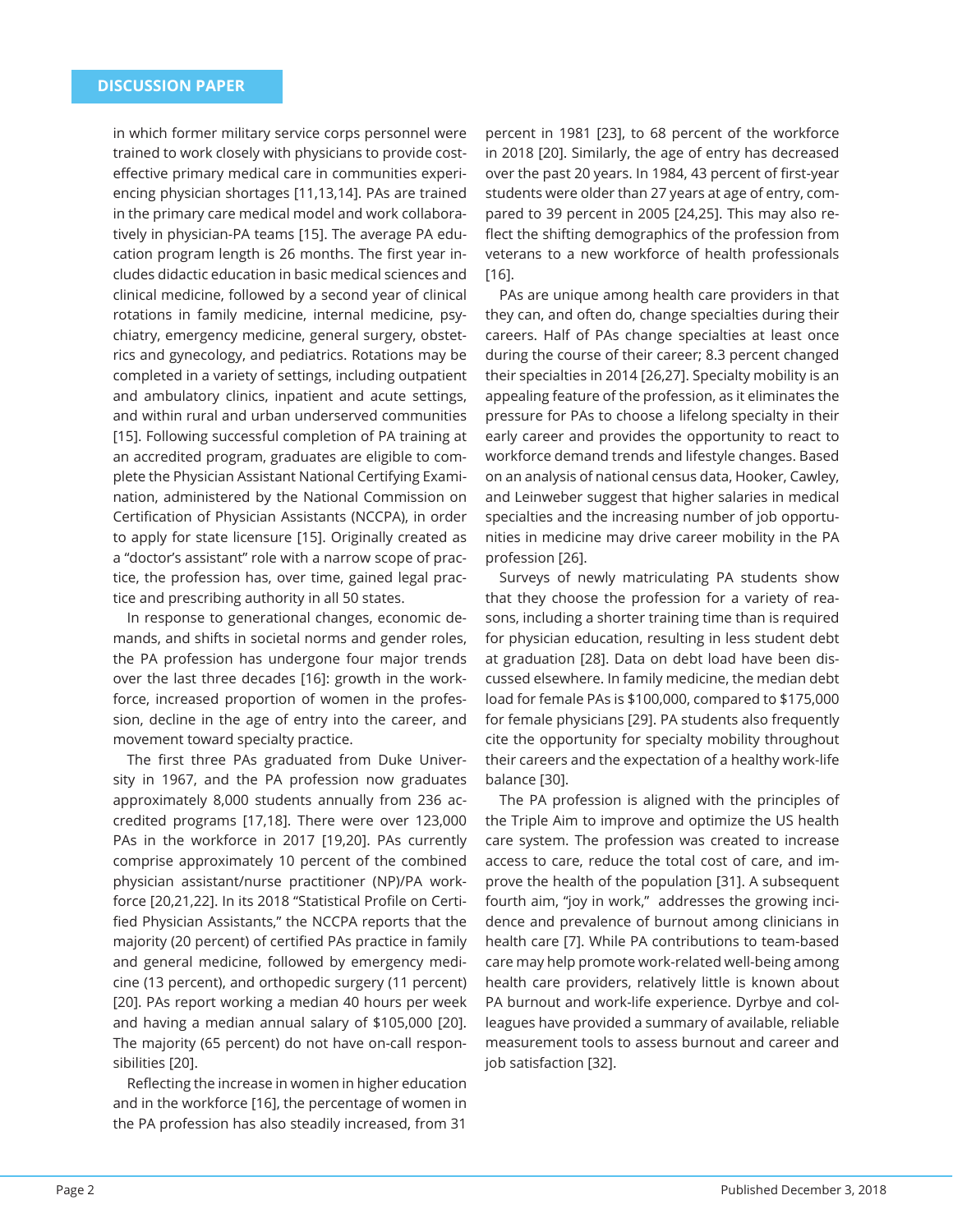in which former military service corps personnel were trained to work closely with physicians to provide costeffective primary medical care in communities experiencing physician shortages [11,13,14]. PAs are trained in the primary care medical model and work collaboratively in physician-PA teams [15]. The average PA education program length is 26 months. The first year includes didactic education in basic medical sciences and clinical medicine, followed by a second year of clinical rotations in family medicine, internal medicine, psychiatry, emergency medicine, general surgery, obstetrics and gynecology, and pediatrics. Rotations may be completed in a variety of settings, including outpatient and ambulatory clinics, inpatient and acute settings, and within rural and urban underserved communities [15]. Following successful completion of PA training at an accredited program, graduates are eligible to complete the Physician Assistant National Certifying Examination, administered by the National Commission on Certification of Physician Assistants (NCCPA), in order to apply for state licensure [15]. Originally created as a "doctor's assistant" role with a narrow scope of practice, the profession has, over time, gained legal practice and prescribing authority in all 50 states.

In response to generational changes, economic demands, and shifts in societal norms and gender roles, the PA profession has undergone four major trends over the last three decades [16]: growth in the workforce, increased proportion of women in the profession, decline in the age of entry into the career, and movement toward specialty practice.

The first three PAs graduated from Duke University in 1967, and the PA profession now graduates approximately 8,000 students annually from 236 accredited programs [17,18]. There were over 123,000 PAs in the workforce in 2017 [19,20]. PAs currently comprise approximately 10 percent of the combined physician assistant/nurse practitioner (NP)/PA workforce [20,21,22]. In its 2018 "Statistical Profile on Certified Physician Assistants," the NCCPA reports that the majority (20 percent) of certified PAs practice in family and general medicine, followed by emergency medicine (13 percent), and orthopedic surgery (11 percent) [20]. PAs report working a median 40 hours per week and having a median annual salary of \$105,000 [20]. The majority (65 percent) do not have on-call responsibilities [20].

Reflecting the increase in women in higher education and in the workforce [16], the percentage of women in the PA profession has also steadily increased, from 31

percent in 1981 [23], to 68 percent of the workforce in 2018 [20]. Similarly, the age of entry has decreased over the past 20 years. In 1984, 43 percent of first-year students were older than 27 years at age of entry, compared to 39 percent in 2005 [24,25]. This may also reflect the shifting demographics of the profession from veterans to a new workforce of health professionals [16].

PAs are unique among health care providers in that they can, and often do, change specialties during their careers. Half of PAs change specialties at least once during the course of their career; 8.3 percent changed their specialties in 2014 [26,27]. Specialty mobility is an appealing feature of the profession, as it eliminates the pressure for PAs to choose a lifelong specialty in their early career and provides the opportunity to react to workforce demand trends and lifestyle changes. Based on an analysis of national census data, Hooker, Cawley, and Leinweber suggest that higher salaries in medical specialties and the increasing number of job opportunities in medicine may drive career mobility in the PA profession [26].

Surveys of newly matriculating PA students show that they choose the profession for a variety of reasons, including a shorter training time than is required for physician education, resulting in less student debt at graduation [28]. Data on debt load have been discussed elsewhere. In family medicine, the median debt load for female PAs is \$100,000, compared to \$175,000 for female physicians [29]. PA students also frequently cite the opportunity for specialty mobility throughout their careers and the expectation of a healthy work-life balance [30].

The PA profession is aligned with the principles of the Triple Aim to improve and optimize the US health care system. The profession was created to increase access to care, reduce the total cost of care, and improve the health of the population [31]. A subsequent fourth aim, "joy in work," addresses the growing incidence and prevalence of burnout among clinicians in health care [7]. While PA contributions to team-based care may help promote work-related well-being among health care providers, relatively little is known about PA burnout and work-life experience. Dyrbye and colleagues have provided a summary of available, reliable measurement tools to assess burnout and career and job satisfaction [32].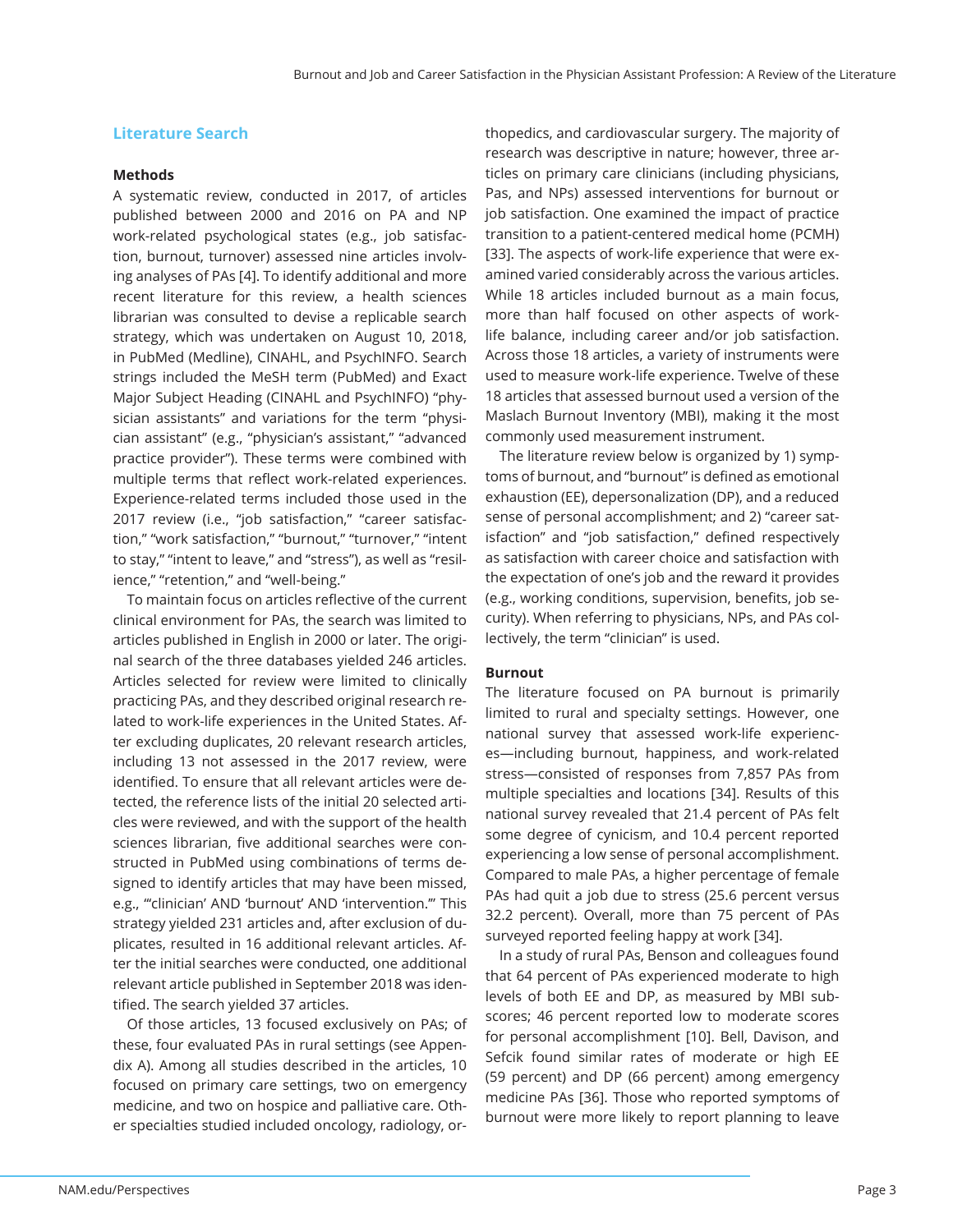## **Literature Search**

#### **Methods**

A systematic review, conducted in 2017, of articles published between 2000 and 2016 on PA and NP work-related psychological states (e.g., job satisfaction, burnout, turnover) assessed nine articles involving analyses of PAs [4]. To identify additional and more recent literature for this review, a health sciences librarian was consulted to devise a replicable search strategy, which was undertaken on August 10, 2018, in PubMed (Medline), CINAHL, and PsychINFO. Search strings included the MeSH term (PubMed) and Exact Major Subject Heading (CINAHL and PsychINFO) "physician assistants" and variations for the term "physician assistant" (e.g., "physician's assistant," "advanced practice provider"). These terms were combined with multiple terms that reflect work-related experiences. Experience-related terms included those used in the 2017 review (i.e., "job satisfaction," "career satisfaction," "work satisfaction," "burnout," "turnover," "intent to stay," "intent to leave," and "stress"), as well as "resilience," "retention," and "well-being."

To maintain focus on articles reflective of the current clinical environment for PAs, the search was limited to articles published in English in 2000 or later. The original search of the three databases yielded 246 articles. Articles selected for review were limited to clinically practicing PAs, and they described original research related to work-life experiences in the United States. After excluding duplicates, 20 relevant research articles, including 13 not assessed in the 2017 review, were identified. To ensure that all relevant articles were detected, the reference lists of the initial 20 selected articles were reviewed, and with the support of the health sciences librarian, five additional searches were constructed in PubMed using combinations of terms designed to identify articles that may have been missed, e.g., "'clinician' AND 'burnout' AND 'intervention.'" This strategy yielded 231 articles and, after exclusion of duplicates, resulted in 16 additional relevant articles. After the initial searches were conducted, one additional relevant article published in September 2018 was identified. The search yielded 37 articles.

Of those articles, 13 focused exclusively on PAs; of these, four evaluated PAs in rural settings (see Appendix A). Among all studies described in the articles, 10 focused on primary care settings, two on emergency medicine, and two on hospice and palliative care. Other specialties studied included oncology, radiology, or-

thopedics, and cardiovascular surgery. The majority of research was descriptive in nature; however, three articles on primary care clinicians (including physicians, Pas, and NPs) assessed interventions for burnout or job satisfaction. One examined the impact of practice transition to a patient-centered medical home (PCMH) [33]. The aspects of work-life experience that were examined varied considerably across the various articles. While 18 articles included burnout as a main focus, more than half focused on other aspects of worklife balance, including career and/or job satisfaction. Across those 18 articles, a variety of instruments were used to measure work-life experience. Twelve of these 18 articles that assessed burnout used a version of the Maslach Burnout Inventory (MBI), making it the most commonly used measurement instrument.

The literature review below is organized by 1) symptoms of burnout, and "burnout" is defined as emotional exhaustion (EE), depersonalization (DP), and a reduced sense of personal accomplishment; and 2) "career satisfaction" and "job satisfaction," defined respectively as satisfaction with career choice and satisfaction with the expectation of one's job and the reward it provides (e.g., working conditions, supervision, benefits, job security). When referring to physicians, NPs, and PAs collectively, the term "clinician" is used.

#### **Burnout**

The literature focused on PA burnout is primarily limited to rural and specialty settings. However, one national survey that assessed work-life experiences—including burnout, happiness, and work-related stress—consisted of responses from 7,857 PAs from multiple specialties and locations [34]. Results of this national survey revealed that 21.4 percent of PAs felt some degree of cynicism, and 10.4 percent reported experiencing a low sense of personal accomplishment. Compared to male PAs, a higher percentage of female PAs had quit a job due to stress (25.6 percent versus 32.2 percent). Overall, more than 75 percent of PAs surveyed reported feeling happy at work [34].

In a study of rural PAs, Benson and colleagues found that 64 percent of PAs experienced moderate to high levels of both EE and DP, as measured by MBI subscores; 46 percent reported low to moderate scores for personal accomplishment [10]. Bell, Davison, and Sefcik found similar rates of moderate or high EE (59 percent) and DP (66 percent) among emergency medicine PAs [36]. Those who reported symptoms of burnout were more likely to report planning to leave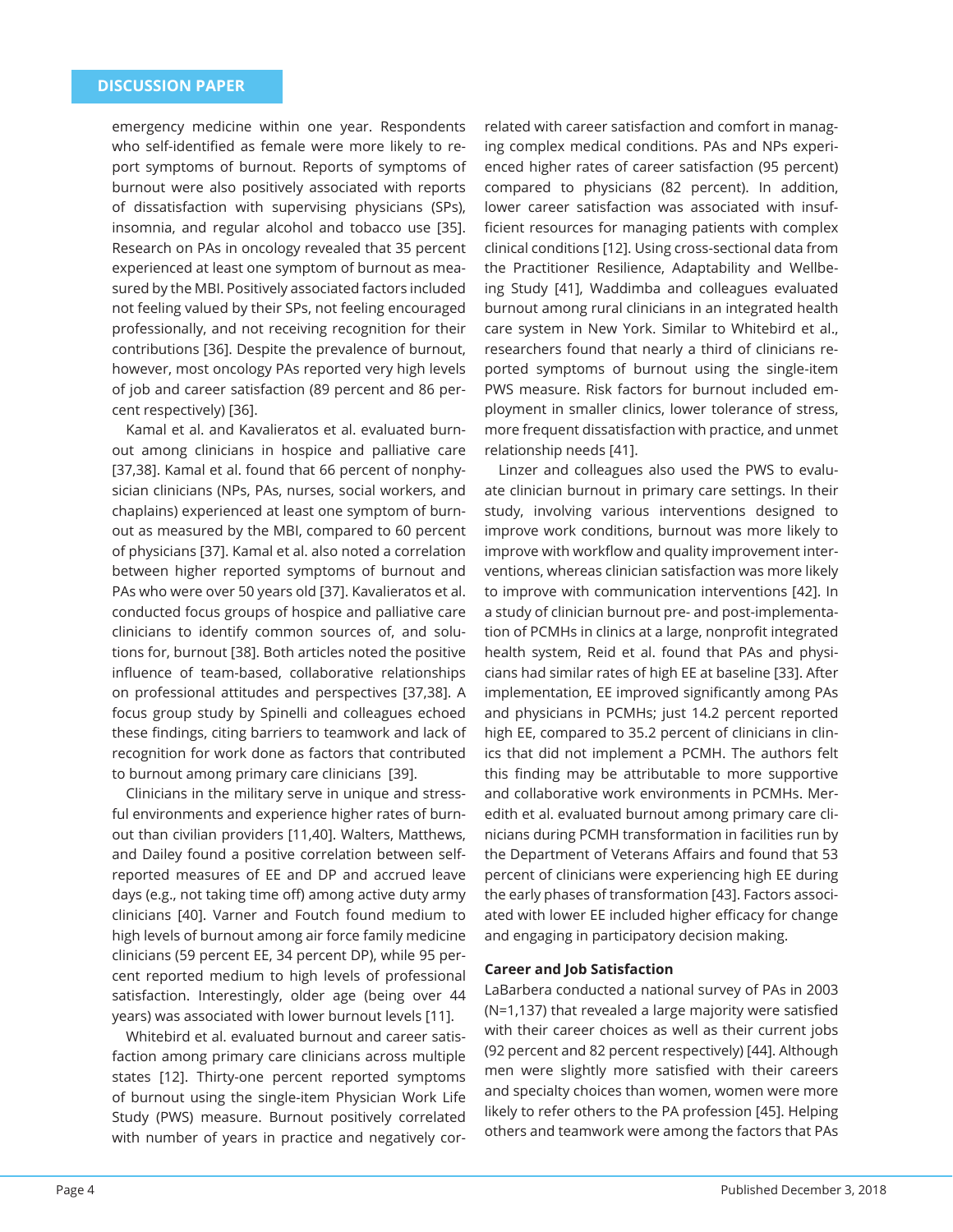emergency medicine within one year. Respondents who self-identified as female were more likely to report symptoms of burnout. Reports of symptoms of burnout were also positively associated with reports of dissatisfaction with supervising physicians (SPs), insomnia, and regular alcohol and tobacco use [35]. Research on PAs in oncology revealed that 35 percent experienced at least one symptom of burnout as measured by the MBI. Positively associated factors included not feeling valued by their SPs, not feeling encouraged professionally, and not receiving recognition for their contributions [36]. Despite the prevalence of burnout, however, most oncology PAs reported very high levels of job and career satisfaction (89 percent and 86 percent respectively) [36].

Kamal et al. and Kavalieratos et al. evaluated burnout among clinicians in hospice and palliative care [37,38]. Kamal et al. found that 66 percent of nonphysician clinicians (NPs, PAs, nurses, social workers, and chaplains) experienced at least one symptom of burnout as measured by the MBI, compared to 60 percent of physicians [37]. Kamal et al. also noted a correlation between higher reported symptoms of burnout and PAs who were over 50 years old [37]. Kavalieratos et al. conducted focus groups of hospice and palliative care clinicians to identify common sources of, and solutions for, burnout [38]. Both articles noted the positive influence of team-based, collaborative relationships on professional attitudes and perspectives [37,38]. A focus group study by Spinelli and colleagues echoed these findings, citing barriers to teamwork and lack of recognition for work done as factors that contributed to burnout among primary care clinicians [39].

Clinicians in the military serve in unique and stressful environments and experience higher rates of burnout than civilian providers [11,40]. Walters, Matthews, and Dailey found a positive correlation between selfreported measures of EE and DP and accrued leave days (e.g., not taking time off) among active duty army clinicians [40]. Varner and Foutch found medium to high levels of burnout among air force family medicine clinicians (59 percent EE, 34 percent DP), while 95 percent reported medium to high levels of professional satisfaction. Interestingly, older age (being over 44 years) was associated with lower burnout levels [11].

Whitebird et al. evaluated burnout and career satisfaction among primary care clinicians across multiple states [12]. Thirty-one percent reported symptoms of burnout using the single-item Physician Work Life Study (PWS) measure. Burnout positively correlated with number of years in practice and negatively cor-

related with career satisfaction and comfort in managing complex medical conditions. PAs and NPs experienced higher rates of career satisfaction (95 percent) compared to physicians (82 percent). In addition, lower career satisfaction was associated with insufficient resources for managing patients with complex clinical conditions [12]. Using cross-sectional data from the Practitioner Resilience, Adaptability and Wellbeing Study [41], Waddimba and colleagues evaluated burnout among rural clinicians in an integrated health care system in New York. Similar to Whitebird et al., researchers found that nearly a third of clinicians reported symptoms of burnout using the single-item PWS measure. Risk factors for burnout included employment in smaller clinics, lower tolerance of stress, more frequent dissatisfaction with practice, and unmet relationship needs [41].

Linzer and colleagues also used the PWS to evaluate clinician burnout in primary care settings. In their study, involving various interventions designed to improve work conditions, burnout was more likely to improve with workflow and quality improvement interventions, whereas clinician satisfaction was more likely to improve with communication interventions [42]. In a study of clinician burnout pre- and post-implementation of PCMHs in clinics at a large, nonprofit integrated health system, Reid et al. found that PAs and physicians had similar rates of high EE at baseline [33]. After implementation, EE improved significantly among PAs and physicians in PCMHs; just 14.2 percent reported high EE, compared to 35.2 percent of clinicians in clinics that did not implement a PCMH. The authors felt this finding may be attributable to more supportive and collaborative work environments in PCMHs. Meredith et al. evaluated burnout among primary care clinicians during PCMH transformation in facilities run by the Department of Veterans Affairs and found that 53 percent of clinicians were experiencing high EE during the early phases of transformation [43]. Factors associated with lower EE included higher efficacy for change and engaging in participatory decision making.

#### **Career and Job Satisfaction**

LaBarbera conducted a national survey of PAs in 2003  $(N=1,137)$  that revealed a large majority were satisfied with their career choices as well as their current jobs (92 percent and 82 percent respectively) [44]. Although men were slightly more satisfied with their careers and specialty choices than women, women were more likely to refer others to the PA profession [45]. Helping others and teamwork were among the factors that PAs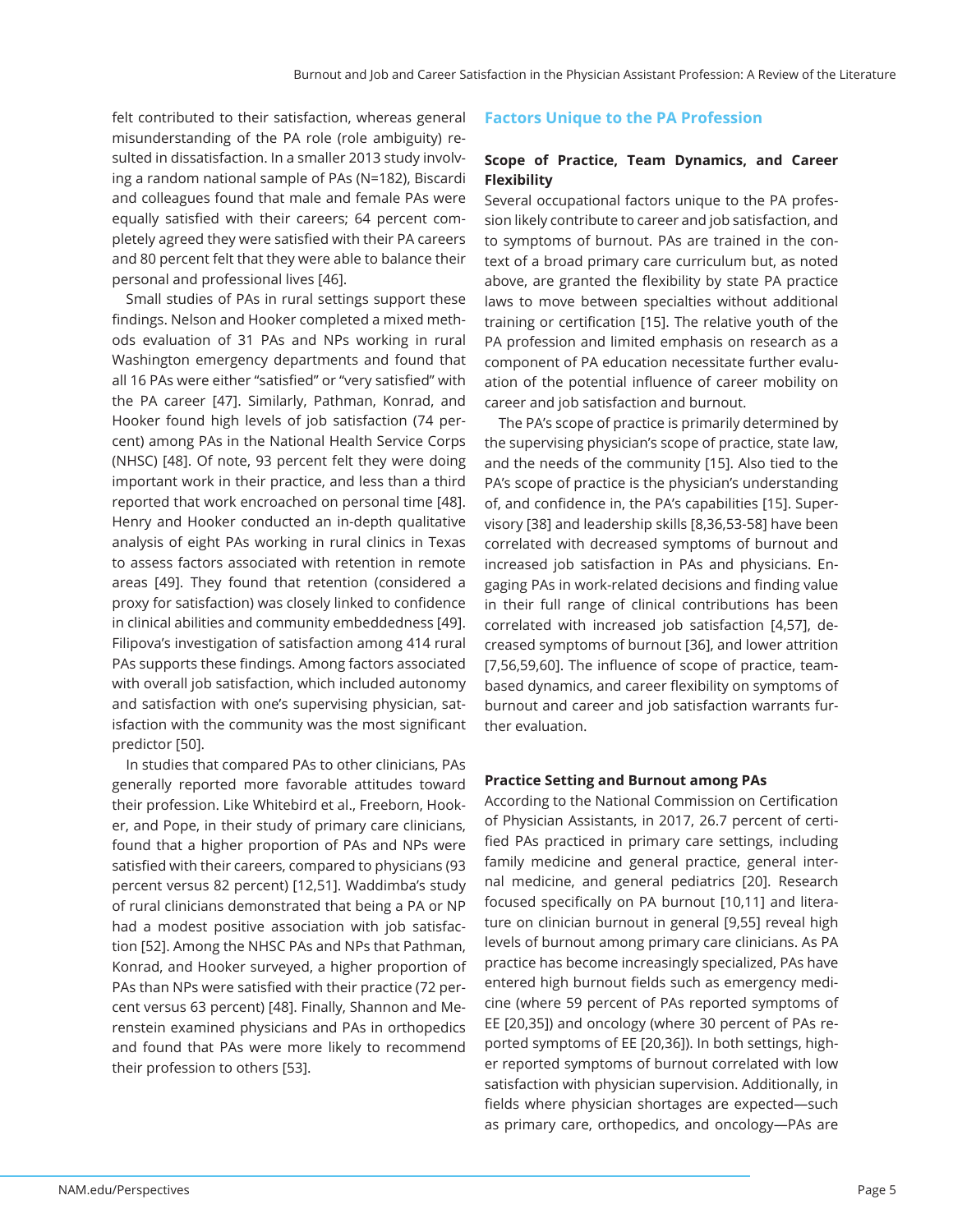felt contributed to their satisfaction, whereas general misunderstanding of the PA role (role ambiguity) resulted in dissatisfaction. In a smaller 2013 study involving a random national sample of PAs (N=182), Biscardi and colleagues found that male and female PAs were equally satisfied with their careers; 64 percent completely agreed they were satisfied with their PA careers and 80 percent felt that they were able to balance their personal and professional lives [46].

Small studies of PAs in rural settings support these findings. Nelson and Hooker completed a mixed methods evaluation of 31 PAs and NPs working in rural Washington emergency departments and found that all 16 PAs were either "satisfied" or "very satisfied" with the PA career [47]. Similarly, Pathman, Konrad, and Hooker found high levels of job satisfaction (74 percent) among PAs in the National Health Service Corps (NHSC) [48]. Of note, 93 percent felt they were doing important work in their practice, and less than a third reported that work encroached on personal time [48]. Henry and Hooker conducted an in-depth qualitative analysis of eight PAs working in rural clinics in Texas to assess factors associated with retention in remote areas [49]. They found that retention (considered a proxy for satisfaction) was closely linked to confidence in clinical abilities and community embeddedness [49]. Filipova's investigation of satisfaction among 414 rural PAs supports these findings. Among factors associated with overall job satisfaction, which included autonomy and satisfaction with one's supervising physician, satisfaction with the community was the most significant predictor [50].

In studies that compared PAs to other clinicians, PAs generally reported more favorable attitudes toward their profession. Like Whitebird et al., Freeborn, Hooker, and Pope, in their study of primary care clinicians, found that a higher proportion of PAs and NPs were satisfied with their careers, compared to physicians (93 percent versus 82 percent) [12,51]. Waddimba's study of rural clinicians demonstrated that being a PA or NP had a modest positive association with job satisfaction [52]. Among the NHSC PAs and NPs that Pathman, Konrad, and Hooker surveyed, a higher proportion of PAs than NPs were satisfied with their practice (72 percent versus 63 percent) [48]. Finally, Shannon and Merenstein examined physicians and PAs in orthopedics and found that PAs were more likely to recommend their profession to others [53].

#### **Factors Unique to the PA Profession**

#### **Scope of Practice, Team Dynamics, and Career Flexibility**

Several occupational factors unique to the PA profession likely contribute to career and job satisfaction, and to symptoms of burnout. PAs are trained in the context of a broad primary care curriculum but, as noted above, are granted the flexibility by state PA practice laws to move between specialties without additional training or certification [15]. The relative youth of the PA profession and limited emphasis on research as a component of PA education necessitate further evaluation of the potential influence of career mobility on career and job satisfaction and burnout.

The PA's scope of practice is primarily determined by the supervising physician's scope of practice, state law, and the needs of the community [15]. Also tied to the PA's scope of practice is the physician's understanding of, and confidence in, the PA's capabilities [15]. Supervisory [38] and leadership skills [8,36,53-58] have been correlated with decreased symptoms of burnout and increased job satisfaction in PAs and physicians. Engaging PAs in work-related decisions and finding value in their full range of clinical contributions has been correlated with increased job satisfaction [4,57], decreased symptoms of burnout [36], and lower attrition [7,56,59,60]. The influence of scope of practice, teambased dynamics, and career flexibility on symptoms of burnout and career and job satisfaction warrants further evaluation.

#### **Practice Setting and Burnout among PAs**

According to the National Commission on Certification of Physician Assistants, in 2017, 26.7 percent of certified PAs practiced in primary care settings, including family medicine and general practice, general internal medicine, and general pediatrics [20]. Research focused specifically on PA burnout [10,11] and literature on clinician burnout in general [9,55] reveal high levels of burnout among primary care clinicians. As PA practice has become increasingly specialized, PAs have entered high burnout fields such as emergency medicine (where 59 percent of PAs reported symptoms of EE [20,35]) and oncology (where 30 percent of PAs reported symptoms of EE [20,36]). In both settings, higher reported symptoms of burnout correlated with low satisfaction with physician supervision. Additionally, in fields where physician shortages are expected-such as primary care, orthopedics, and oncology—PAs are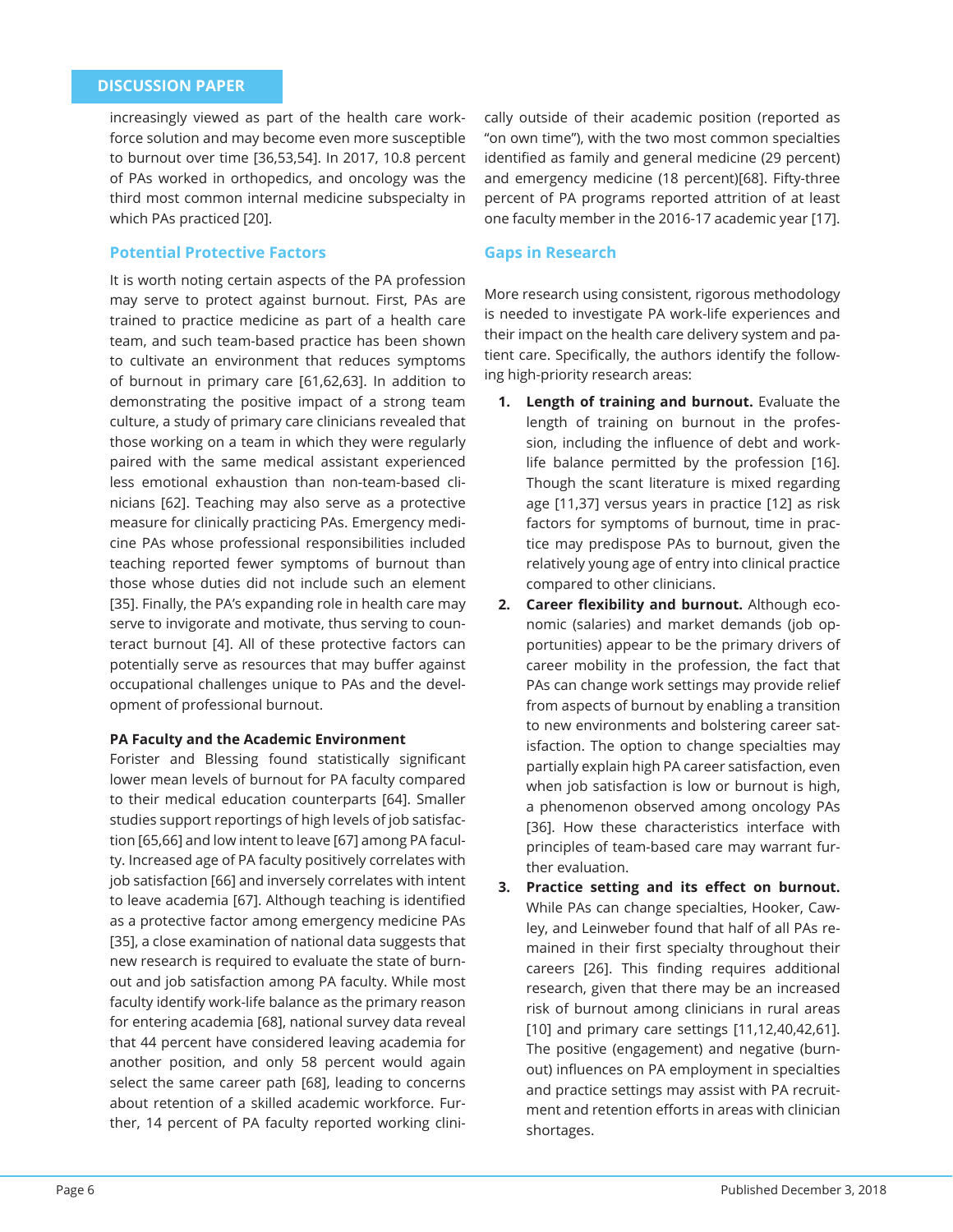increasingly viewed as part of the health care workforce solution and may become even more susceptible to burnout over time [36,53,54]. In 2017, 10.8 percent of PAs worked in orthopedics, and oncology was the third most common internal medicine subspecialty in which PAs practiced [20].

#### **Potential Protective Factors**

It is worth noting certain aspects of the PA profession may serve to protect against burnout. First, PAs are trained to practice medicine as part of a health care team, and such team-based practice has been shown to cultivate an environment that reduces symptoms of burnout in primary care [61,62,63]. In addition to demonstrating the positive impact of a strong team culture, a study of primary care clinicians revealed that those working on a team in which they were regularly paired with the same medical assistant experienced less emotional exhaustion than non-team-based clinicians [62]. Teaching may also serve as a protective measure for clinically practicing PAs. Emergency medicine PAs whose professional responsibilities included teaching reported fewer symptoms of burnout than those whose duties did not include such an element [35]. Finally, the PA's expanding role in health care may serve to invigorate and motivate, thus serving to counteract burnout [4]. All of these protective factors can potentially serve as resources that may buffer against occupational challenges unique to PAs and the development of professional burnout.

#### **PA Faculty and the Academic Environment**

Forister and Blessing found statistically significant lower mean levels of burnout for PA faculty compared to their medical education counterparts [64]. Smaller studies support reportings of high levels of job satisfaction [65,66] and low intent to leave [67] among PA faculty. Increased age of PA faculty positively correlates with job satisfaction [66] and inversely correlates with intent to leave academia [67]. Although teaching is identified as a protective factor among emergency medicine PAs [35], a close examination of national data suggests that new research is required to evaluate the state of burnout and job satisfaction among PA faculty. While most faculty identify work-life balance as the primary reason for entering academia [68], national survey data reveal that 44 percent have considered leaving academia for another position, and only 58 percent would again select the same career path [68], leading to concerns about retention of a skilled academic workforce. Further, 14 percent of PA faculty reported working clini-

cally outside of their academic position (reported as "on own time"), with the two most common specialties identified as family and general medicine (29 percent) and emergency medicine (18 percent)[68]. Fifty-three percent of PA programs reported attrition of at least one faculty member in the 2016-17 academic year [17].

#### **Gaps in Research**

More research using consistent, rigorous methodology is needed to investigate PA work-life experiences and their impact on the health care delivery system and patient care. Specifically, the authors identify the following high-priority research areas:

- **1. Length of training and burnout.** Evaluate the length of training on burnout in the profession, including the influence of debt and worklife balance permitted by the profession [16]. Though the scant literature is mixed regarding age [11,37] versus years in practice [12] as risk factors for symptoms of burnout, time in practice may predispose PAs to burnout, given the relatively young age of entry into clinical practice compared to other clinicians.
- **2.** Career flexibility and burnout. Although economic (salaries) and market demands (job opportunities) appear to be the primary drivers of career mobility in the profession, the fact that PAs can change work settings may provide relief from aspects of burnout by enabling a transition to new environments and bolstering career satisfaction. The option to change specialties may partially explain high PA career satisfaction, even when job satisfaction is low or burnout is high, a phenomenon observed among oncology PAs [36]. How these characteristics interface with principles of team-based care may warrant further evaluation.
- **3.** Practice setting and its effect on burnout. While PAs can change specialties, Hooker, Cawley, and Leinweber found that half of all PAs remained in their first specialty throughout their careers [26]. This finding requires additional research, given that there may be an increased risk of burnout among clinicians in rural areas [10] and primary care settings [11,12,40,42,61]. The positive (engagement) and negative (burnout) influences on PA employment in specialties and practice settings may assist with PA recruitment and retention efforts in areas with clinician shortages.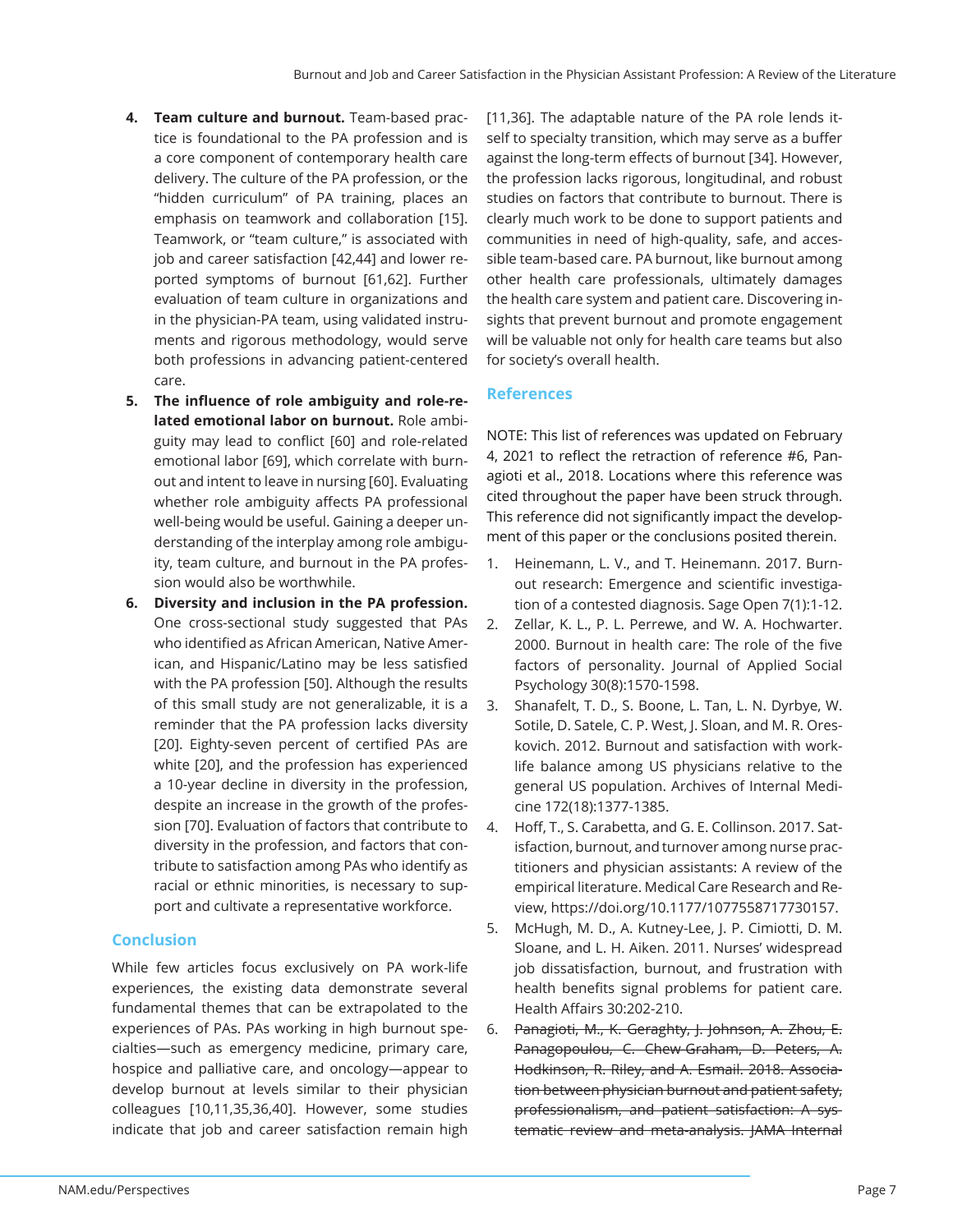- **4. Team culture and burnout.** Team-based practice is foundational to the PA profession and is a core component of contemporary health care delivery. The culture of the PA profession, or the "hidden curriculum" of PA training, places an emphasis on teamwork and collaboration [15]. Teamwork, or "team culture," is associated with job and career satisfaction [42,44] and lower reported symptoms of burnout [61,62]. Further evaluation of team culture in organizations and in the physician-PA team, using validated instruments and rigorous methodology, would serve both professions in advancing patient-centered care.
- 5. The influence of role ambiguity and role-re**lated emotional labor on burnout.** Role ambiguity may lead to conflict [60] and role-related emotional labor [69], which correlate with burnout and intent to leave in nursing [60]. Evaluating whether role ambiguity affects PA professional well-being would be useful. Gaining a deeper understanding of the interplay among role ambiguity, team culture, and burnout in the PA profession would also be worthwhile.
- **6. Diversity and inclusion in the PA profession.**  One cross-sectional study suggested that PAs who identified as African American, Native American, and Hispanic/Latino may be less satisfied with the PA profession [50]. Although the results of this small study are not generalizable, it is a reminder that the PA profession lacks diversity [20]. Eighty-seven percent of certified PAs are white [20], and the profession has experienced a 10-year decline in diversity in the profession, despite an increase in the growth of the profession [70]. Evaluation of factors that contribute to diversity in the profession, and factors that contribute to satisfaction among PAs who identify as racial or ethnic minorities, is necessary to support and cultivate a representative workforce.

# **Conclusion**

While few articles focus exclusively on PA work-life experiences, the existing data demonstrate several fundamental themes that can be extrapolated to the experiences of PAs. PAs working in high burnout specialties—such as emergency medicine, primary care, hospice and palliative care, and oncology—appear to develop burnout at levels similar to their physician colleagues [10,11,35,36,40]. However, some studies indicate that job and career satisfaction remain high [11,36]. The adaptable nature of the PA role lends itself to specialty transition, which may serve as a buffer against the long-term effects of burnout [34]. However, the profession lacks rigorous, longitudinal, and robust studies on factors that contribute to burnout. There is clearly much work to be done to support patients and communities in need of high-quality, safe, and accessible team-based care. PA burnout, like burnout among other health care professionals, ultimately damages the health care system and patient care. Discovering insights that prevent burnout and promote engagement will be valuable not only for health care teams but also for society's overall health.

# **References**

NOTE: This list of references was updated on February 4, 2021 to reflect the retraction of reference #6, Panagioti et al., 2018. Locations where this reference was cited throughout the paper have been struck through. This reference did not significantly impact the development of this paper or the conclusions posited therein.

- 1. Heinemann, L. V., and T. Heinemann. 2017. Burnout research: Emergence and scientific investigation of a contested diagnosis. Sage Open 7(1):1-12.
- 2. Zellar, K. L., P. L. Perrewe, and W. A. Hochwarter. 2000. Burnout in health care: The role of the five factors of personality. Journal of Applied Social Psychology 30(8):1570-1598.
- 3. Shanafelt, T. D., S. Boone, L. Tan, L. N. Dyrbye, W. Sotile, D. Satele, C. P. West, J. Sloan, and M. R. Oreskovich. 2012. Burnout and satisfaction with worklife balance among US physicians relative to the general US population. Archives of Internal Medicine 172(18):1377-1385.
- 4. Hoff, T., S. Carabetta, and G. E. Collinson. 2017. Satisfaction, burnout, and turnover among nurse practitioners and physician assistants: A review of the empirical literature. Medical Care Research and Review, https://doi.org/10.1177/1077558717730157.
- 5. McHugh, M. D., A. Kutney-Lee, J. P. Cimiotti, D. M. Sloane, and L. H. Aiken. 2011. Nurses' widespread job dissatisfaction, burnout, and frustration with health benefits signal problems for patient care. Health Affairs 30:202-210.
- 6. Panagioti, M., K. Geraghty, J. Johnson, A. Zhou, E. Panagopoulou, C. Chew-Graham, D. Peters, A. Hodkinson, R. Riley, and A. Esmail. 2018. Association between physician burnout and patient safety, professionalism, and patient satisfaction: A systematic review and meta-analysis. JAMA Internal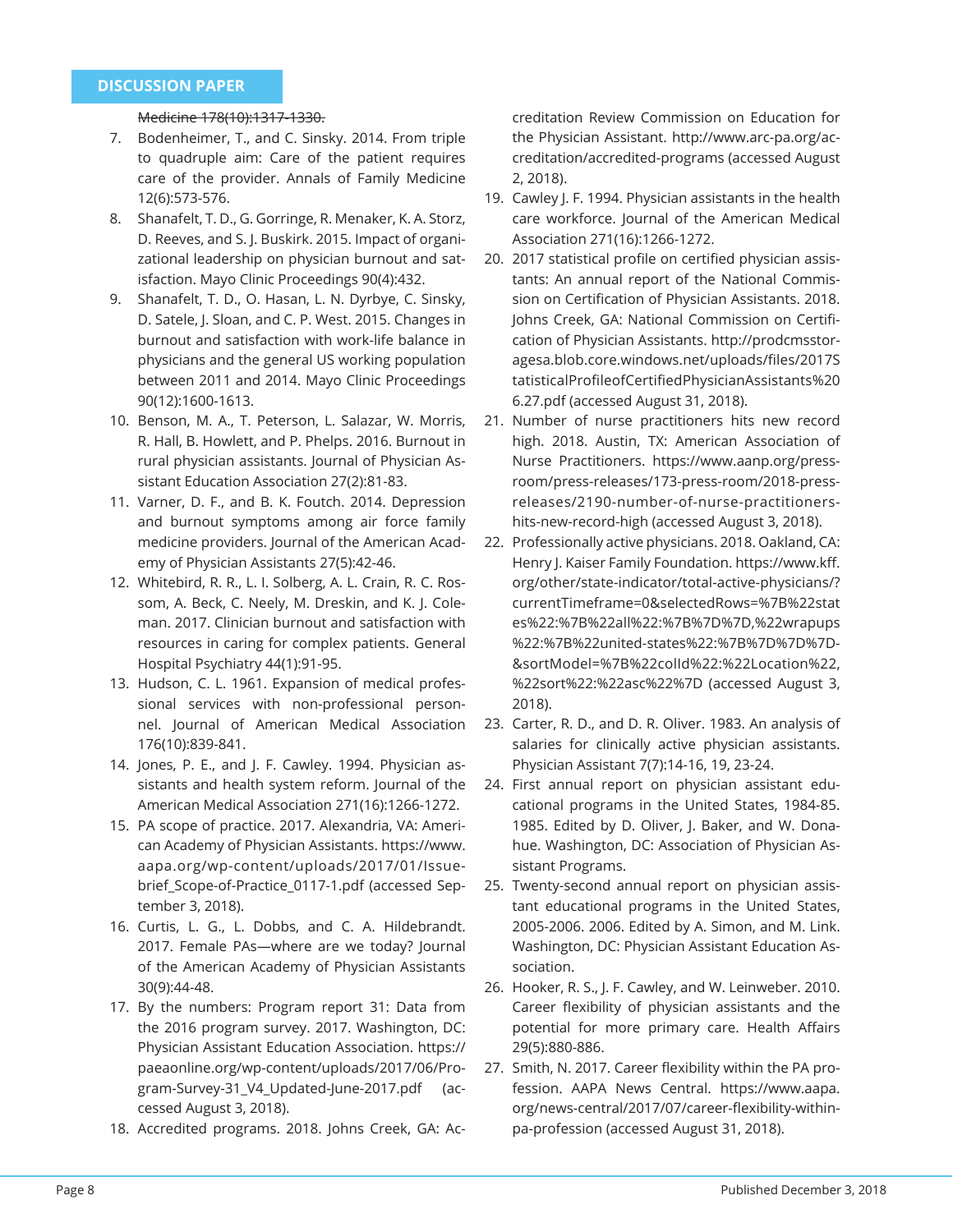#### Medicine 178(10):1317-1330.

- 7. Bodenheimer, T., and C. Sinsky. 2014. From triple to quadruple aim: Care of the patient requires care of the provider. Annals of Family Medicine 12(6):573-576.
- 8. Shanafelt, T. D., G. Gorringe, R. Menaker, K. A. Storz, D. Reeves, and S. J. Buskirk. 2015. Impact of organizational leadership on physician burnout and satisfaction. Mayo Clinic Proceedings 90(4):432.
- 9. Shanafelt, T. D., O. Hasan, L. N. Dyrbye, C. Sinsky, D. Satele, J. Sloan, and C. P. West. 2015. Changes in burnout and satisfaction with work-life balance in physicians and the general US working population between 2011 and 2014. Mayo Clinic Proceedings 90(12):1600-1613.
- 10. Benson, M. A., T. Peterson, L. Salazar, W. Morris, R. Hall, B. Howlett, and P. Phelps. 2016. Burnout in rural physician assistants. Journal of Physician Assistant Education Association 27(2):81-83.
- 11. Varner, D. F., and B. K. Foutch. 2014. Depression and burnout symptoms among air force family medicine providers. Journal of the American Academy of Physician Assistants 27(5):42-46.
- 12. Whitebird, R. R., L. I. Solberg, A. L. Crain, R. C. Rossom, A. Beck, C. Neely, M. Dreskin, and K. J. Coleman. 2017. Clinician burnout and satisfaction with resources in caring for complex patients. General Hospital Psychiatry 44(1):91-95.
- 13. Hudson, C. L. 1961. Expansion of medical professional services with non-professional personnel. Journal of American Medical Association 176(10):839-841.
- 14. Jones, P. E., and J. F. Cawley. 1994. Physician assistants and health system reform. Journal of the American Medical Association 271(16):1266-1272.
- 15. PA scope of practice. 2017. Alexandria, VA: American Academy of Physician Assistants. https://www. aapa.org/wp-content/uploads/2017/01/Issuebrief Scope-of-Practice 0117-1.pdf (accessed September 3, 2018).
- 16. Curtis, L. G., L. Dobbs, and C. A. Hildebrandt. 2017. Female PAs—where are we today? Journal of the American Academy of Physician Assistants 30(9):44-48.
- 17. By the numbers: Program report 31: Data from the 2016 program survey. 2017. Washington, DC: Physician Assistant Education Association. https:// paeaonline.org/wp-content/uploads/2017/06/Program-Survey-31\_V4\_Updated-June-2017.pdf (accessed August 3, 2018).
- 18. Accredited programs. 2018. Johns Creek, GA: Ac-

creditation Review Commission on Education for the Physician Assistant. http://www.arc-pa.org/accreditation/accredited-programs (accessed August 2, 2018).

- 19. Cawley J. F. 1994. Physician assistants in the health care workforce. Journal of the American Medical Association 271(16):1266-1272.
- 20. 2017 statistical profile on certified physician assistants: An annual report of the National Commission on Certification of Physician Assistants. 2018. Johns Creek, GA: National Commission on Certification of Physician Assistants. http://prodcmsstoragesa.blob.core.windows.net/uploads/files/2017S tatisticalProfileofCertifiedPhysicianAssistants%20 6.27.pdf (accessed August 31, 2018).
- 21. Number of nurse practitioners hits new record high. 2018. Austin, TX: American Association of Nurse Practitioners. https://www.aanp.org/pressroom/press-releases/173-press-room/2018-pressreleases/2190-number-of-nurse-practitionershits-new-record-high (accessed August 3, 2018).
- 22. Professionally active physicians. 2018. Oakland, CA: Henry J. Kaiser Family Foundation. https://www.kff. org/other/state-indicator/total-active-physicians/? currentTimeframe=0&selectedRows=%7B%22stat es%22:%7B%22all%22:%7B%7D%7D,%22wrapups %22:%7B%22united-states%22:%7B%7D%7D%7D- &sortModel=%7B%22colId%22:%22Location%22, %22sort%22:%22asc%22%7D (accessed August 3, 2018).
- 23. Carter, R. D., and D. R. Oliver. 1983. An analysis of salaries for clinically active physician assistants. Physician Assistant 7(7):14-16, 19, 23-24.
- 24. First annual report on physician assistant educational programs in the United States, 1984-85. 1985. Edited by D. Oliver, I. Baker, and W. Donahue. Washington, DC: Association of Physician Assistant Programs.
- 25. Twenty-second annual report on physician assistant educational programs in the United States, 2005-2006. 2006. Edited by A. Simon, and M. Link. Washington, DC: Physician Assistant Education Association.
- 26. Hooker, R. S., J. F. Cawley, and W. Leinweber. 2010. Career flexibility of physician assistants and the potential for more primary care. Health Affairs 29(5):880-886.
- 27. Smith, N. 2017. Career flexibility within the PA profession. AAPA News Central. https://www.aapa. org/news-central/2017/07/career-flexibility-withinpa-profession (accessed August 31, 2018).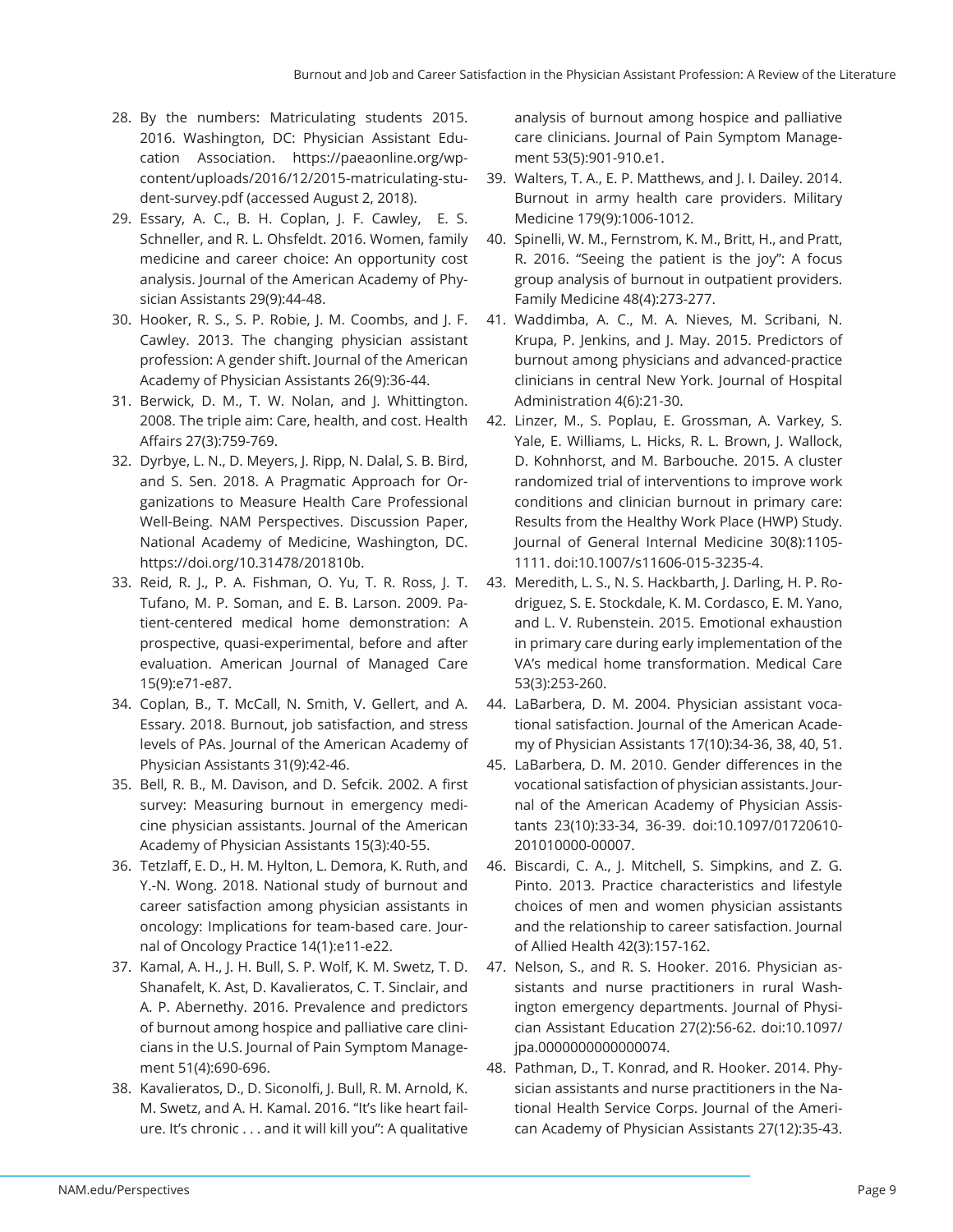- 28. By the numbers: Matriculating students 2015. 2016. Washington, DC: Physician Assistant Education Association. https://paeaonline.org/wpcontent/uploads/2016/12/2015-matriculating-student-survey.pdf (accessed August 2, 2018).
- 29. Essary, A. C., B. H. Coplan, J. F. Cawley, E. S. Schneller, and R. L. Ohsfeldt. 2016. Women, family medicine and career choice: An opportunity cost analysis. Journal of the American Academy of Physician Assistants 29(9):44-48.
- 30. Hooker, R. S., S. P. Robie, J. M. Coombs, and J. F. Cawley. 2013. The changing physician assistant profession: A gender shift. Journal of the American Academy of Physician Assistants 26(9):36-44.
- 31. Berwick, D. M., T. W. Nolan, and J. Whittington. 2008. The triple aim: Care, health, and cost. Health Affairs 27(3):759-769.
- 32. Dyrbye, L. N., D. Meyers, J. Ripp, N. Dalal, S. B. Bird, and S. Sen. 2018. A Pragmatic Approach for Organizations to Measure Health Care Professional Well-Being. NAM Perspectives. Discussion Paper, National Academy of Medicine, Washington, DC. https://doi.org/10.31478/201810b.
- 33. Reid, R. J., P. A. Fishman, O. Yu, T. R. Ross, J. T. Tufano, M. P. Soman, and E. B. Larson. 2009. Patient-centered medical home demonstration: A prospective, quasi-experimental, before and after evaluation. American Journal of Managed Care 15(9):e71-e87.
- 34. Coplan, B., T. McCall, N. Smith, V. Gellert, and A. Essary. 2018. Burnout, job satisfaction, and stress levels of PAs. Journal of the American Academy of Physician Assistants 31(9):42-46.
- 35. Bell, R. B., M. Davison, and D. Sefcik. 2002. A first survey: Measuring burnout in emergency medicine physician assistants. Journal of the American Academy of Physician Assistants 15(3):40-55.
- 36. Tetzlaff, E. D., H. M. Hylton, L. Demora, K. Ruth, and Y.-N. Wong. 2018. National study of burnout and career satisfaction among physician assistants in oncology: Implications for team-based care. Journal of Oncology Practice 14(1):e11-e22.
- 37. Kamal, A. H., J. H. Bull, S. P. Wolf, K. M. Swetz, T. D. Shanafelt, K. Ast, D. Kavalieratos, C. T. Sinclair, and A. P. Abernethy. 2016. Prevalence and predictors of burnout among hospice and palliative care clinicians in the U.S. Journal of Pain Symptom Management 51(4):690-696.
- 38. Kavalieratos, D., D. Siconolfi, J. Bull, R. M. Arnold, K. M. Swetz, and A. H. Kamal. 2016. "It's like heart failure. It's chronic . . . and it will kill you": A qualitative

analysis of burnout among hospice and palliative care clinicians. Journal of Pain Symptom Management 53(5):901-910.e1.

- 39. Walters, T. A., E. P. Matthews, and J. I. Dailey. 2014. Burnout in army health care providers. Military Medicine 179(9):1006-1012.
- 40. Spinelli, W. M., Fernstrom, K. M., Britt, H., and Pratt, R. 2016. "Seeing the patient is the joy": A focus group analysis of burnout in outpatient providers. Family Medicine 48(4):273-277.
- 41. Waddimba, A. C., M. A. Nieves, M. Scribani, N. Krupa, P. Jenkins, and J. May. 2015. Predictors of burnout among physicians and advanced-practice clinicians in central New York. Journal of Hospital Administration 4(6):21-30.
- 42. Linzer, M., S. Poplau, E. Grossman, A. Varkey, S. Yale, E. Williams, L. Hicks, R. L. Brown, J. Wallock, D. Kohnhorst, and M. Barbouche. 2015. A cluster randomized trial of interventions to improve work conditions and clinician burnout in primary care: Results from the Healthy Work Place (HWP) Study. Journal of General Internal Medicine 30(8):1105- 1111. doi:10.1007/s11606-015-3235-4.
- 43. Meredith, L. S., N. S. Hackbarth, J. Darling, H. P. Rodriguez, S. E. Stockdale, K. M. Cordasco, E. M. Yano, and L. V. Rubenstein. 2015. Emotional exhaustion in primary care during early implementation of the VA's medical home transformation. Medical Care 53(3):253-260.
- 44. LaBarbera, D. M. 2004. Physician assistant vocational satisfaction. Journal of the American Academy of Physician Assistants 17(10):34-36, 38, 40, 51.
- 45. LaBarbera, D. M. 2010. Gender differences in the vocational satisfaction of physician assistants. Journal of the American Academy of Physician Assistants 23(10):33-34, 36-39. doi:10.1097/01720610- 201010000-00007.
- 46. Biscardi, C. A., J. Mitchell, S. Simpkins, and Z. G. Pinto. 2013. Practice characteristics and lifestyle choices of men and women physician assistants and the relationship to career satisfaction. Journal of Allied Health 42(3):157-162.
- 47. Nelson, S., and R. S. Hooker. 2016. Physician assistants and nurse practitioners in rural Washington emergency departments. Journal of Physician Assistant Education 27(2):56-62. doi:10.1097/ jpa.0000000000000074.
- 48. Pathman, D., T. Konrad, and R. Hooker. 2014. Physician assistants and nurse practitioners in the National Health Service Corps. Journal of the American Academy of Physician Assistants 27(12):35-43.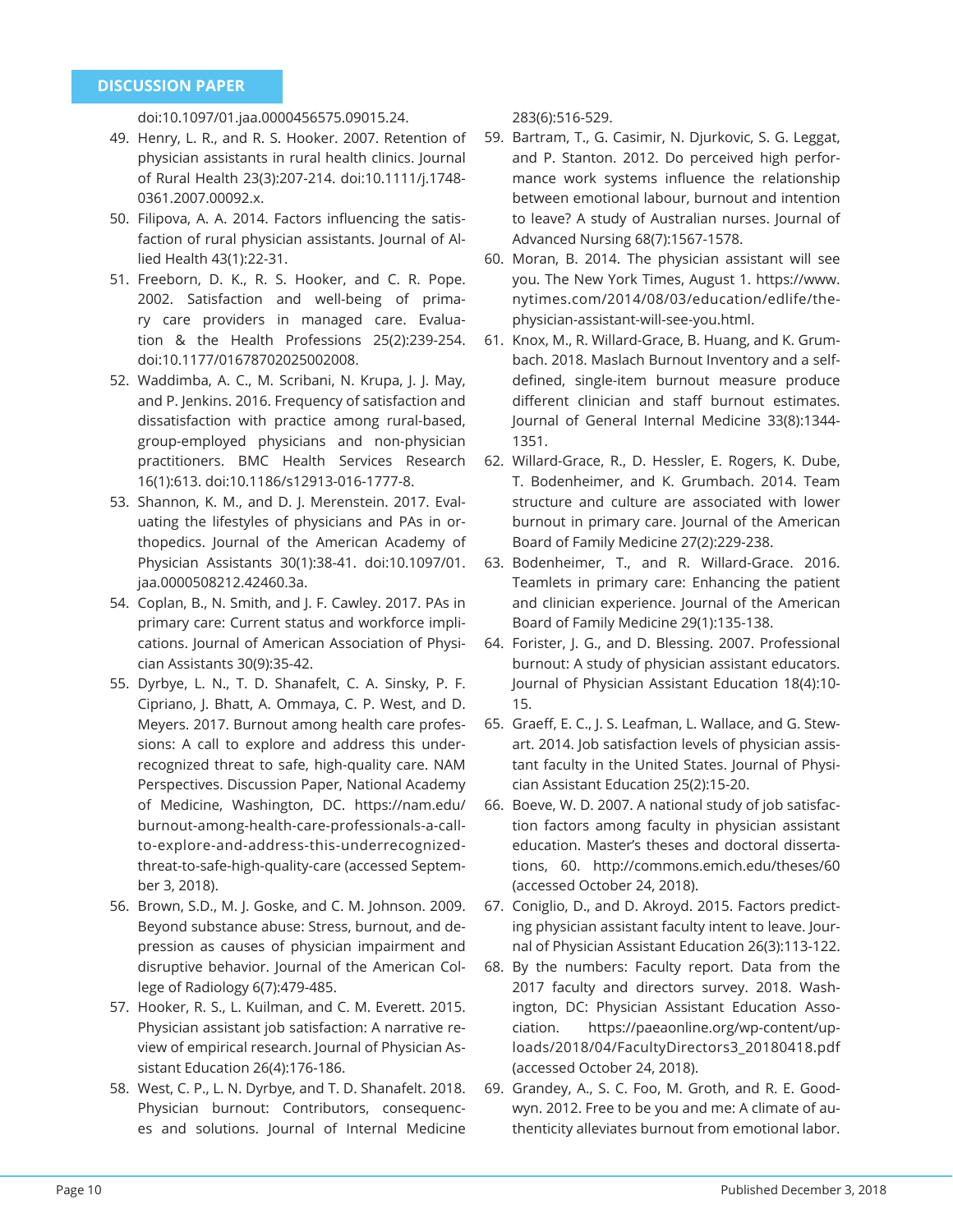doi:10.1097/01.jaa.0000456575.09015.24.

- 49. Henry, L. R., and R. S. Hooker. 2007. Retention of physician assistants in rural health clinics. Journal of Rural Health 23(3):207-214. doi:10.1111/j.1748- 0361.2007.00092.x.
- 50. Filipova, A. A. 2014. Factors influencing the satisfaction of rural physician assistants. Journal of Allied Health 43(1):22-31.
- 51. Freeborn, D. K., R. S. Hooker, and C. R. Pope. 2002. Satisfaction and well-being of primary care providers in managed care. Evaluation & the Health Professions 25(2):239-254. doi:10.1177/01678702025002008.
- 52. Waddimba, A. C., M. Scribani, N. Krupa, J. J. May, and P. Jenkins. 2016. Frequency of satisfaction and dissatisfaction with practice among rural-based, group-employed physicians and non-physician practitioners. BMC Health Services Research 16(1):613. doi:10.1186/s12913-016-1777-8.
- 53. Shannon, K. M., and D. J. Merenstein. 2017. Evaluating the lifestyles of physicians and PAs in orthopedics. Journal of the American Academy of Physician Assistants 30(1):38-41. doi:10.1097/01. jaa.0000508212.42460.3a.
- 54. Coplan, B., N. Smith, and J. F. Cawley. 2017. PAs in primary care: Current status and workforce implications. Journal of American Association of Physician Assistants 30(9):35-42.
- 55. Dyrbye, L. N., T. D. Shanafelt, C. A. Sinsky, P. F. Cipriano, J. Bhatt, A. Ommaya, C. P. West, and D. Meyers. 2017. Burnout among health care professions: A call to explore and address this underrecognized threat to safe, high-quality care. NAM Perspectives. Discussion Paper, National Academy of Medicine, Washington, DC. https://nam.edu/ burnout-among-health-care-professionals-a-callto-explore-and-address-this-underrecognizedthreat-to-safe-high-quality-care (accessed September 3, 2018).
- 56. Brown, S.D., M. J. Goske, and C. M. Johnson. 2009. Beyond substance abuse: Stress, burnout, and depression as causes of physician impairment and disruptive behavior. Journal of the American College of Radiology 6(7):479-485.
- 57. Hooker, R. S., L. Kuilman, and C. M. Everett. 2015. Physician assistant job satisfaction: A narrative review of empirical research. Journal of Physician Assistant Education 26(4):176-186.
- 58. West, C. P., L. N. Dyrbye, and T. D. Shanafelt. 2018. Physician burnout: Contributors, consequences and solutions. Journal of Internal Medicine

283(6):516-529.

- 59. Bartram, T., G. Casimir, N. Djurkovic, S. G. Leggat, and P. Stanton. 2012. Do perceived high performance work systems influence the relationship between emotional labour, burnout and intention to leave? A study of Australian nurses. Journal of Advanced Nursing 68(7):1567-1578.
- 60. Moran, B. 2014. The physician assistant will see you. The New York Times, August 1. https://www. nytimes.com/2014/08/03/education/edlife/thephysician-assistant-will-see-you.html.
- 61. Knox, M., R. Willard-Grace, B. Huang, and K. Grumbach. 2018. Maslach Burnout Inventory and a selfdefined, single-item burnout measure produce different clinician and staff burnout estimates. Journal of General Internal Medicine 33(8):1344- 1351.
- 62. Willard-Grace, R., D. Hessler, E. Rogers, K. Dube, T. Bodenheimer, and K. Grumbach. 2014. Team structure and culture are associated with lower burnout in primary care. Journal of the American Board of Family Medicine 27(2):229-238.
- 63. Bodenheimer, T., and R. Willard-Grace. 2016. Teamlets in primary care: Enhancing the patient and clinician experience. Journal of the American Board of Family Medicine 29(1):135-138.
- 64. Forister, J. G., and D. Blessing. 2007. Professional burnout: A study of physician assistant educators. Journal of Physician Assistant Education 18(4):10- 15.
- 65. Graeff, E. C., J. S. Leafman, L. Wallace, and G. Stewart. 2014. Job satisfaction levels of physician assistant faculty in the United States. Journal of Physician Assistant Education 25(2):15-20.
- 66. Boeve, W. D. 2007. A national study of job satisfaction factors among faculty in physician assistant education. Master's theses and doctoral dissertations, 60. http://commons.emich.edu/theses/60 (accessed October 24, 2018).
- 67. Coniglio, D., and D. Akroyd. 2015. Factors predicting physician assistant faculty intent to leave. Journal of Physician Assistant Education 26(3):113-122.
- 68. By the numbers: Faculty report. Data from the 2017 faculty and directors survey. 2018. Washington, DC: Physician Assistant Education Association. https://paeaonline.org/wp-content/uploads/2018/04/FacultyDirectors3\_20180418.pdf (accessed October 24, 2018).
- 69. Grandey, A., S. C. Foo, M. Groth, and R. E. Goodwyn. 2012. Free to be you and me: A climate of authenticity alleviates burnout from emotional labor.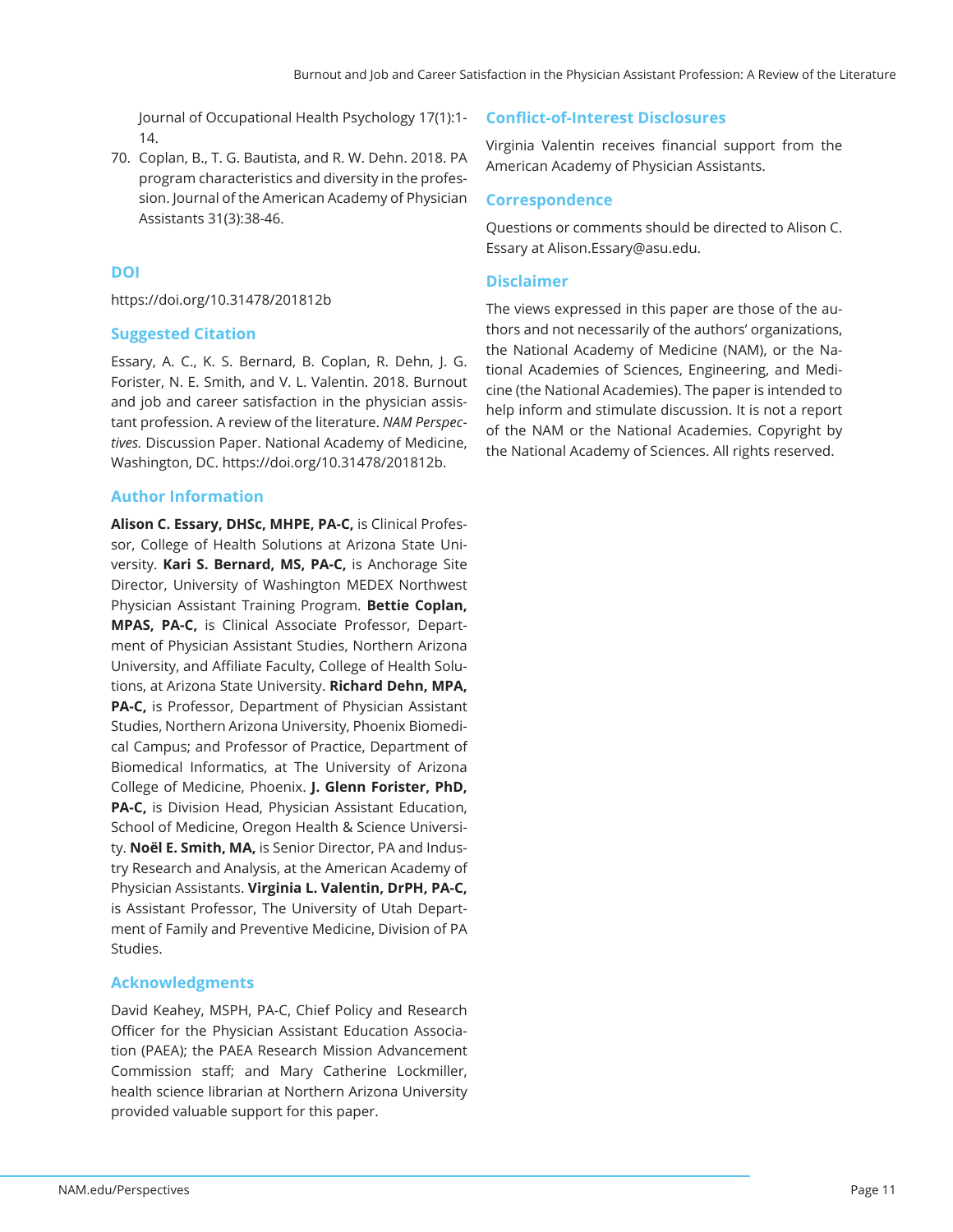Journal of Occupational Health Psychology 17(1):1- 14.

70. Coplan, B., T. G. Bautista, and R. W. Dehn. 2018. PA program characteristics and diversity in the profession. Journal of the American Academy of Physician Assistants 31(3):38-46.

# **DOI**

https://doi.org/10.31478/201812b

# **Suggested Citation**

Essary, A. C., K. S. Bernard, B. Coplan, R. Dehn, J. G. Forister, N. E. Smith, and V. L. Valentin. 2018. Burnout and job and career satisfaction in the physician assistant profession. A review of the literature. *NAM Perspectives.* Discussion Paper. National Academy of Medicine, Washington, DC. https://doi.org/10.31478/201812b.

# **Author Information**

**Alison C. Essary, DHSc, MHPE, PA-C,** is Clinical Professor, College of Health Solutions at Arizona State University. **Kari S. Bernard, MS, PA-C,** is Anchorage Site Director, University of Washington MEDEX Northwest Physician Assistant Training Program. **Bettie Coplan, MPAS, PA-C,** is Clinical Associate Professor, Department of Physician Assistant Studies, Northern Arizona University, and Affiliate Faculty, College of Health Solutions, at Arizona State University. **Richard Dehn, MPA, PA-C,** is Professor, Department of Physician Assistant Studies, Northern Arizona University, Phoenix Biomedical Campus; and Professor of Practice, Department of Biomedical Informatics, at The University of Arizona College of Medicine, Phoenix. **J. Glenn Forister, PhD, PA-C,** is Division Head, Physician Assistant Education, School of Medicine, Oregon Health & Science University. **Noël E. Smith, MA,** is Senior Director, PA and Industry Research and Analysis, at the American Academy of Physician Assistants. **Virginia L. Valentin, DrPH, PA-C,**  is Assistant Professor, The University of Utah Department of Family and Preventive Medicine, Division of PA Studies.

# **Acknowledgments**

David Keahey, MSPH, PA-C, Chief Policy and Research Officer for the Physician Assistant Education Association (PAEA); the PAEA Research Mission Advancement Commission staff; and Mary Catherine Lockmiller, health science librarian at Northern Arizona University provided valuable support for this paper.

# **Confl ict-of-Interest Disclosures**

Virginia Valentin receives financial support from the American Academy of Physician Assistants.

## **Correspondence**

Questions or comments should be directed to Alison C. Essary at Alison.Essary@asu.edu.

# **Disclaimer**

The views expressed in this paper are those of the authors and not necessarily of the authors' organizations, the National Academy of Medicine (NAM), or the National Academies of Sciences, Engineering, and Medicine (the National Academies). The paper is intended to help inform and stimulate discussion. It is not a report of the NAM or the National Academies. Copyright by the National Academy of Sciences. All rights reserved.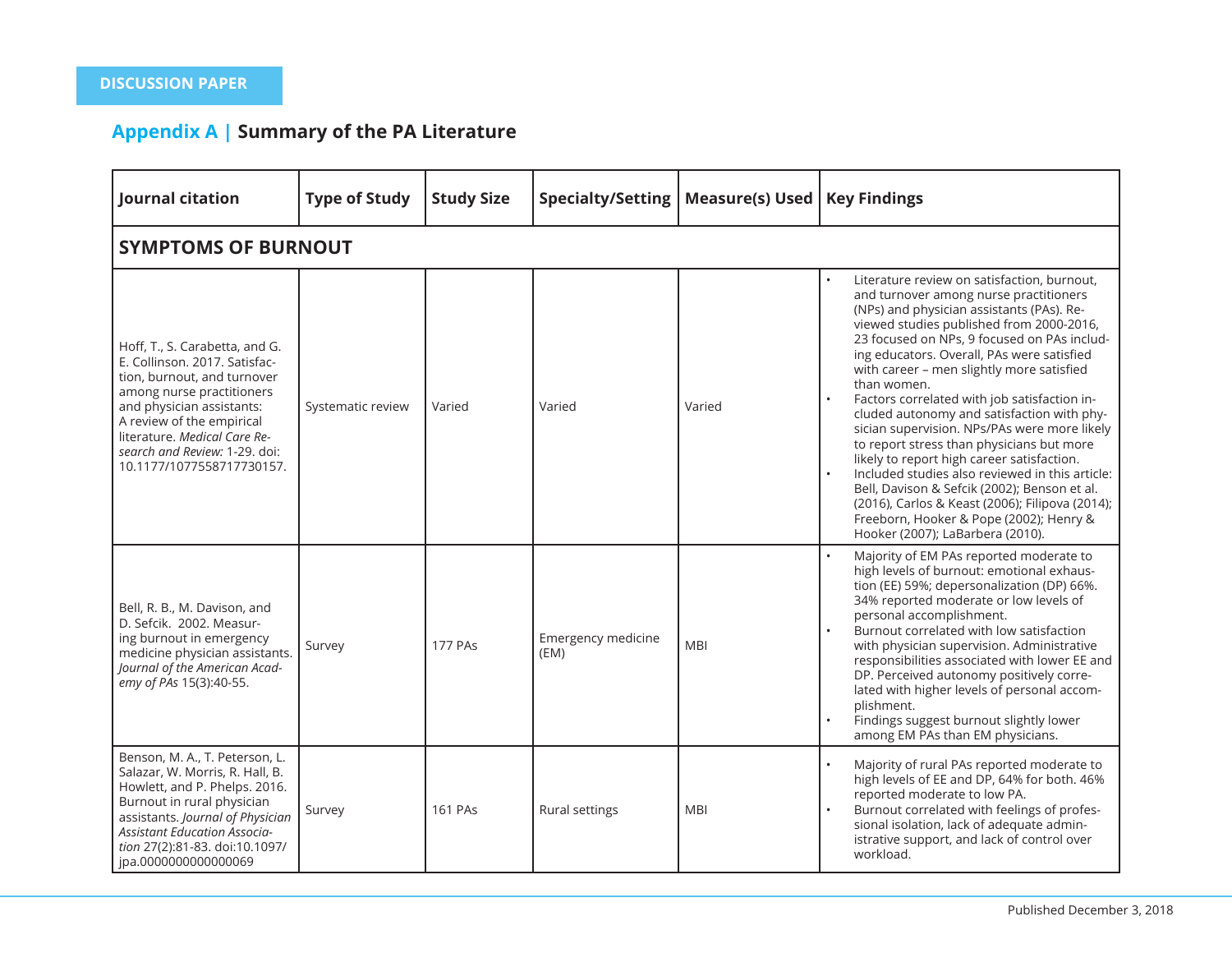# **Appendix A | Summary of the PA Literature**

| Journal citation                                                                                                                                                                                                                                                                    | <b>Type of Study</b> | <b>Study Size</b> | <b>Specialty/Setting</b>   | <b>Measure(s) Used</b> | <b>Key Findings</b>                                                                                                                                                                                                                                                                                                                                                                                                                                                                                                                                                                                                                                                                                                                                                                                                   |  |  |  |  |  |
|-------------------------------------------------------------------------------------------------------------------------------------------------------------------------------------------------------------------------------------------------------------------------------------|----------------------|-------------------|----------------------------|------------------------|-----------------------------------------------------------------------------------------------------------------------------------------------------------------------------------------------------------------------------------------------------------------------------------------------------------------------------------------------------------------------------------------------------------------------------------------------------------------------------------------------------------------------------------------------------------------------------------------------------------------------------------------------------------------------------------------------------------------------------------------------------------------------------------------------------------------------|--|--|--|--|--|
| <b>SYMPTOMS OF BURNOUT</b>                                                                                                                                                                                                                                                          |                      |                   |                            |                        |                                                                                                                                                                                                                                                                                                                                                                                                                                                                                                                                                                                                                                                                                                                                                                                                                       |  |  |  |  |  |
| Hoff, T., S. Carabetta, and G.<br>E. Collinson. 2017. Satisfac-<br>tion, burnout, and turnover<br>among nurse practitioners<br>and physician assistants:<br>A review of the empirical<br>literature. Medical Care Re-<br>search and Review: 1-29. doi:<br>10.1177/1077558717730157. | Systematic review    | Varied            | Varied                     | Varied                 | Literature review on satisfaction, burnout,<br>and turnover among nurse practitioners<br>(NPs) and physician assistants (PAs). Re-<br>viewed studies published from 2000-2016,<br>23 focused on NPs, 9 focused on PAs includ-<br>ing educators. Overall, PAs were satisfied<br>with career - men slightly more satisfied<br>than women.<br>Factors correlated with job satisfaction in-<br>cluded autonomy and satisfaction with phy-<br>sician supervision. NPs/PAs were more likely<br>to report stress than physicians but more<br>likely to report high career satisfaction.<br>Included studies also reviewed in this article:<br>Bell, Davison & Sefcik (2002); Benson et al.<br>(2016), Carlos & Keast (2006); Filipova (2014);<br>Freeborn, Hooker & Pope (2002); Henry &<br>Hooker (2007); LaBarbera (2010). |  |  |  |  |  |
| Bell, R. B., M. Davison, and<br>D. Sefcik. 2002. Measur-<br>ing burnout in emergency<br>medicine physician assistants.<br>Journal of the American Acad-<br>emy of PAs 15(3):40-55.                                                                                                  | Survey               | <b>177 PAs</b>    | Emergency medicine<br>(EM) | <b>MBI</b>             | Majority of EM PAs reported moderate to<br>high levels of burnout: emotional exhaus-<br>tion (EE) 59%; depersonalization (DP) 66%.<br>34% reported moderate or low levels of<br>personal accomplishment.<br>Burnout correlated with low satisfaction<br>with physician supervision. Administrative<br>responsibilities associated with lower EE and<br>DP. Perceived autonomy positively corre-<br>lated with higher levels of personal accom-<br>plishment.<br>Findings suggest burnout slightly lower<br>among EM PAs than EM physicians.                                                                                                                                                                                                                                                                           |  |  |  |  |  |
| Benson, M. A., T. Peterson, L.<br>Salazar, W. Morris, R. Hall, B.<br>Howlett, and P. Phelps. 2016.<br>Burnout in rural physician<br>assistants. Journal of Physician<br><b>Assistant Education Associa-</b><br>tion 27(2):81-83. doi:10.1097/<br>jpa.0000000000000069               | Survey               | <b>161 PAs</b>    | Rural settings             | <b>MBI</b>             | Majority of rural PAs reported moderate to<br>high levels of EE and DP, 64% for both. 46%<br>reported moderate to low PA.<br>Burnout correlated with feelings of profes-<br>sional isolation, lack of adequate admin-<br>istrative support, and lack of control over<br>workload.                                                                                                                                                                                                                                                                                                                                                                                                                                                                                                                                     |  |  |  |  |  |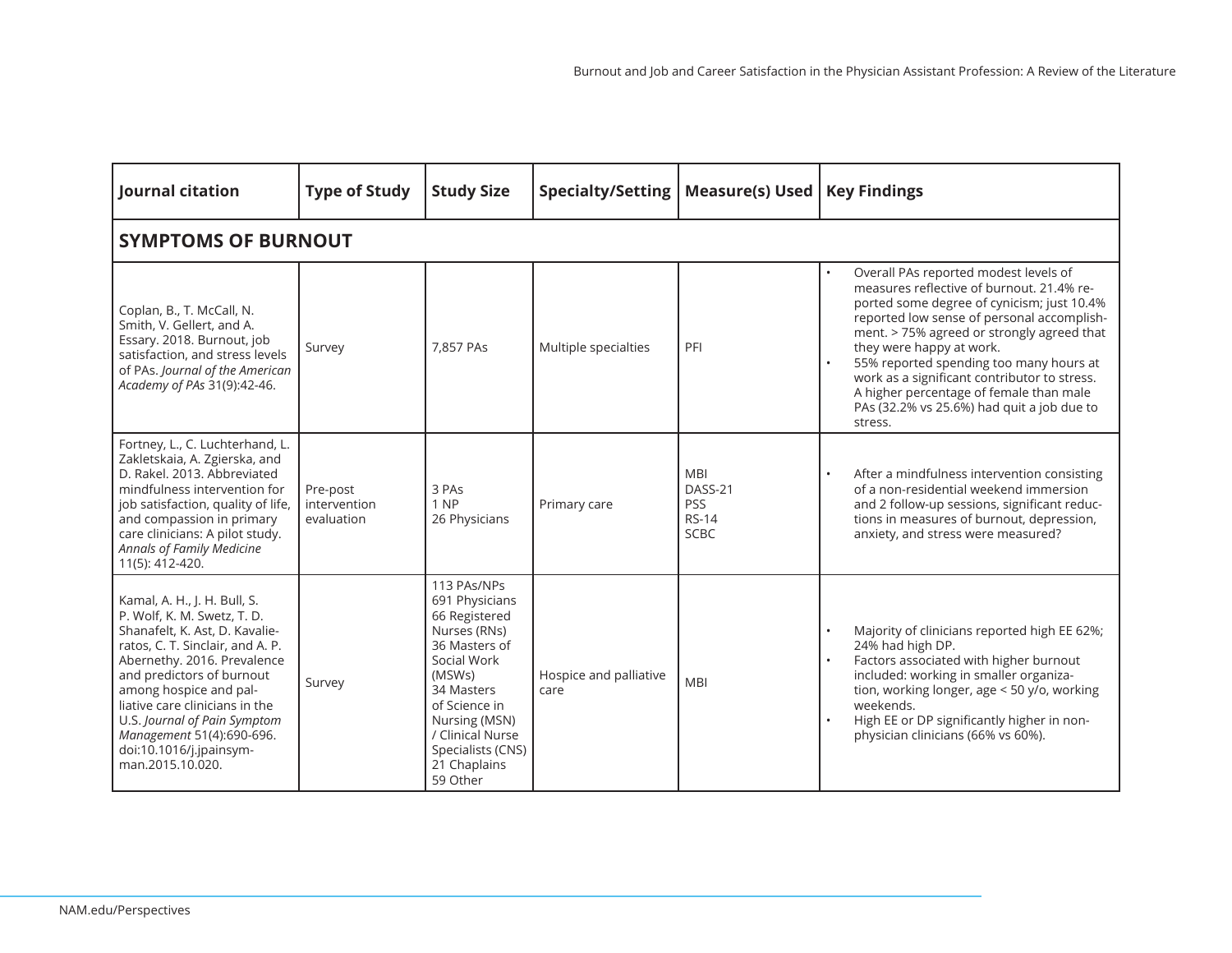| Journal citation                                                                                                                                                                                                                                                                                                                                                      | <b>Type of Study</b>                   | <b>Study Size</b>                                                                                                                                                                                                             | <b>Specialty/Setting</b>       | <b>Measure(s) Used</b>                                             | <b>Key Findings</b>                                                                                                                                                                                                                                                                                                                                                                                                                                     |
|-----------------------------------------------------------------------------------------------------------------------------------------------------------------------------------------------------------------------------------------------------------------------------------------------------------------------------------------------------------------------|----------------------------------------|-------------------------------------------------------------------------------------------------------------------------------------------------------------------------------------------------------------------------------|--------------------------------|--------------------------------------------------------------------|---------------------------------------------------------------------------------------------------------------------------------------------------------------------------------------------------------------------------------------------------------------------------------------------------------------------------------------------------------------------------------------------------------------------------------------------------------|
| <b>SYMPTOMS OF BURNOUT</b>                                                                                                                                                                                                                                                                                                                                            |                                        |                                                                                                                                                                                                                               |                                |                                                                    |                                                                                                                                                                                                                                                                                                                                                                                                                                                         |
| Coplan, B., T. McCall, N.<br>Smith, V. Gellert, and A.<br>Essary. 2018. Burnout, job<br>satisfaction, and stress levels<br>of PAs. Journal of the American<br>Academy of PAs 31(9):42-46.                                                                                                                                                                             | Survey                                 | 7,857 PAs                                                                                                                                                                                                                     | Multiple specialties           | PFI                                                                | Overall PAs reported modest levels of<br>measures reflective of burnout. 21.4% re-<br>ported some degree of cynicism; just 10.4%<br>reported low sense of personal accomplish-<br>ment. > 75% agreed or strongly agreed that<br>they were happy at work.<br>55% reported spending too many hours at<br>work as a significant contributor to stress.<br>A higher percentage of female than male<br>PAs (32.2% vs 25.6%) had quit a job due to<br>stress. |
| Fortney, L., C. Luchterhand, L.<br>Zakletskaia, A. Zgierska, and<br>D. Rakel, 2013. Abbreviated<br>mindfulness intervention for<br>job satisfaction, quality of life,<br>and compassion in primary<br>care clinicians: A pilot study.<br>Annals of Family Medicine<br>11(5): 412-420.                                                                                 | Pre-post<br>intervention<br>evaluation | 3 PAs<br>1 NP<br>26 Physicians                                                                                                                                                                                                | Primary care                   | <b>MBI</b><br>DASS-21<br><b>PSS</b><br><b>RS-14</b><br><b>SCBC</b> | After a mindfulness intervention consisting<br>of a non-residential weekend immersion<br>and 2 follow-up sessions, significant reduc-<br>tions in measures of burnout, depression,<br>anxiety, and stress were measured?                                                                                                                                                                                                                                |
| Kamal, A. H., J. H. Bull, S.<br>P. Wolf, K. M. Swetz, T. D.<br>Shanafelt, K. Ast, D. Kavalie-<br>ratos, C. T. Sinclair, and A. P.<br>Abernethy. 2016. Prevalence<br>and predictors of burnout<br>among hospice and pal-<br>liative care clinicians in the<br>U.S. Journal of Pain Symptom<br>Management 51(4):690-696.<br>doi:10.1016/j.jpainsym-<br>man.2015.10.020. | Survey                                 | 113 PAs/NPs<br>691 Physicians<br>66 Registered<br>Nurses (RNs)<br>36 Masters of<br>Social Work<br>(MSWs)<br>34 Masters<br>of Science in<br>Nursing (MSN)<br>/ Clinical Nurse<br>Specialists (CNS)<br>21 Chaplains<br>59 Other | Hospice and palliative<br>care | <b>MBI</b>                                                         | Majority of clinicians reported high EE 62%;<br>24% had high DP.<br>Factors associated with higher burnout<br>included: working in smaller organiza-<br>tion, working longer, age < 50 y/o, working<br>weekends.<br>High EE or DP significantly higher in non-<br>$\bullet$<br>physician clinicians (66% vs 60%).                                                                                                                                       |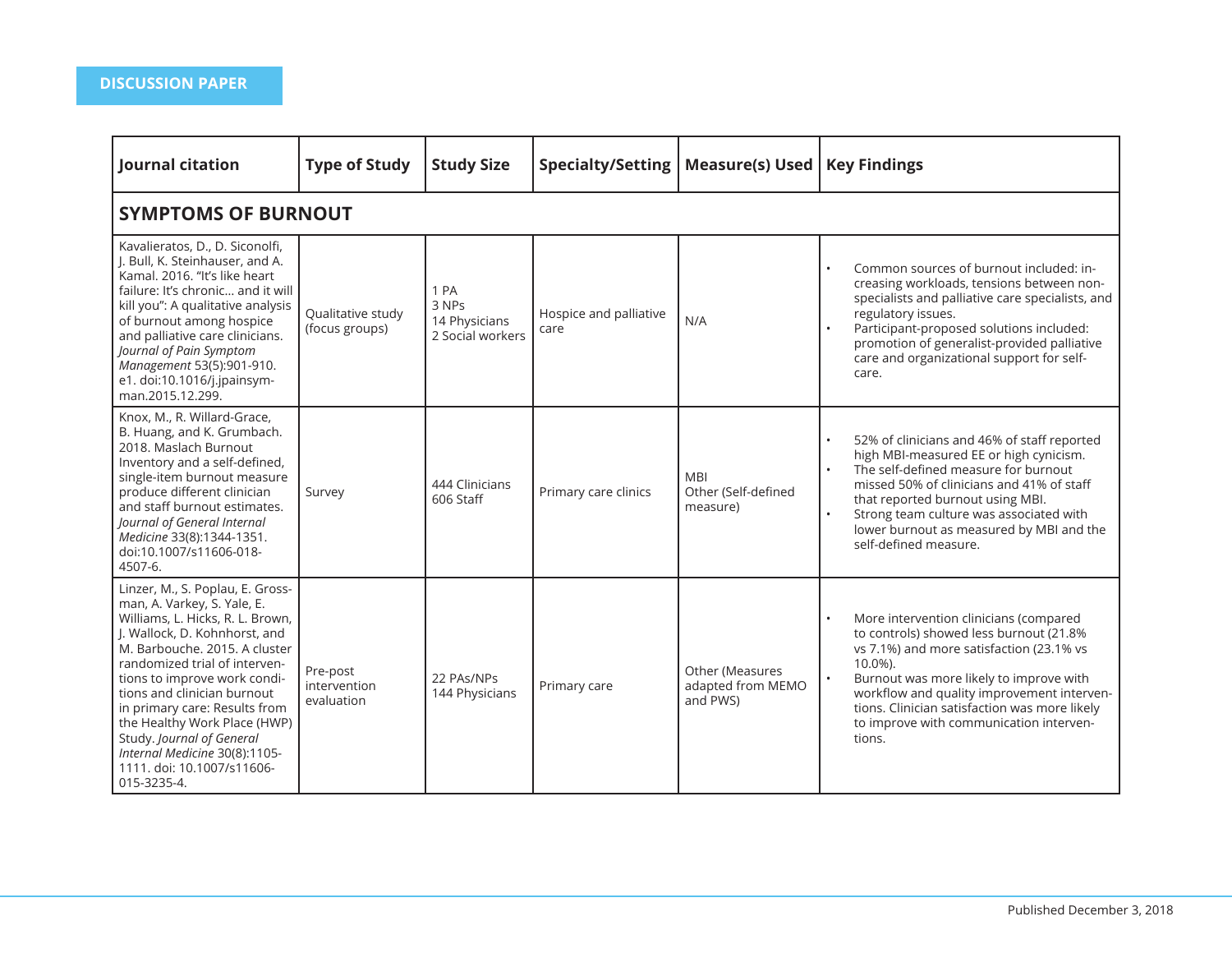| Journal citation                                                                                                                                                                                                                                                                                                                                                                                                                                  | <b>Type of Study</b>                   | <b>Study Size</b>                                  | Specialty/Setting              | Measure(s) Used   Key Findings                   |                                                                                                                                                                                                                                                                                                                                             |  |  |  |  |  |  |
|---------------------------------------------------------------------------------------------------------------------------------------------------------------------------------------------------------------------------------------------------------------------------------------------------------------------------------------------------------------------------------------------------------------------------------------------------|----------------------------------------|----------------------------------------------------|--------------------------------|--------------------------------------------------|---------------------------------------------------------------------------------------------------------------------------------------------------------------------------------------------------------------------------------------------------------------------------------------------------------------------------------------------|--|--|--|--|--|--|
|                                                                                                                                                                                                                                                                                                                                                                                                                                                   | <b>SYMPTOMS OF BURNOUT</b>             |                                                    |                                |                                                  |                                                                                                                                                                                                                                                                                                                                             |  |  |  |  |  |  |
| Kavalieratos, D., D. Siconolfi,<br>J. Bull, K. Steinhauser, and A.<br>Kamal. 2016. "It's like heart<br>failure: It's chronic and it will<br>kill you": A qualitative analysis<br>of burnout among hospice<br>and palliative care clinicians.<br>Journal of Pain Symptom<br>Management 53(5):901-910.<br>e1. doi:10.1016/j.jpainsym-<br>man.2015.12.299.                                                                                           | Qualitative study<br>(focus groups)    | 1 PA<br>3 NPs<br>14 Physicians<br>2 Social workers | Hospice and palliative<br>care | N/A                                              | Common sources of burnout included: in-<br>creasing workloads, tensions between non-<br>specialists and palliative care specialists, and<br>regulatory issues.<br>Participant-proposed solutions included:<br>promotion of generalist-provided palliative<br>care and organizational support for self-<br>care.                             |  |  |  |  |  |  |
| Knox, M., R. Willard-Grace,<br>B. Huang, and K. Grumbach.<br>2018. Maslach Burnout<br>Inventory and a self-defined,<br>single-item burnout measure<br>produce different clinician<br>and staff burnout estimates.<br>Journal of General Internal<br>Medicine 33(8):1344-1351.<br>doi:10.1007/s11606-018-<br>4507-6.                                                                                                                               | Survey                                 | 444 Clinicians<br>606 Staff                        | Primary care clinics           | <b>MBI</b><br>Other (Self-defined<br>measure)    | 52% of clinicians and 46% of staff reported<br>high MBI-measured EE or high cynicism.<br>The self-defined measure for burnout<br>missed 50% of clinicians and 41% of staff<br>that reported burnout using MBI.<br>Strong team culture was associated with<br>$\bullet$<br>lower burnout as measured by MBI and the<br>self-defined measure. |  |  |  |  |  |  |
| Linzer, M., S. Poplau, E. Gross-<br>man, A. Varkey, S. Yale, E.<br>Williams, L. Hicks, R. L. Brown,<br>J. Wallock, D. Kohnhorst, and<br>M. Barbouche. 2015. A cluster<br>randomized trial of interven-<br>tions to improve work condi-<br>tions and clinician burnout<br>in primary care: Results from<br>the Healthy Work Place (HWP)<br>Study. Journal of General<br>Internal Medicine 30(8):1105-<br>1111. doi: 10.1007/s11606-<br>015-3235-4. | Pre-post<br>intervention<br>evaluation | 22 PAs/NPs<br>144 Physicians                       | Primary care                   | Other (Measures<br>adapted from MEMO<br>and PWS) | More intervention clinicians (compared<br>to controls) showed less burnout (21.8%<br>vs 7.1%) and more satisfaction (23.1% vs<br>10.0%).<br>Burnout was more likely to improve with<br>workflow and quality improvement interven-<br>tions. Clinician satisfaction was more likely<br>to improve with communication interven-<br>tions.     |  |  |  |  |  |  |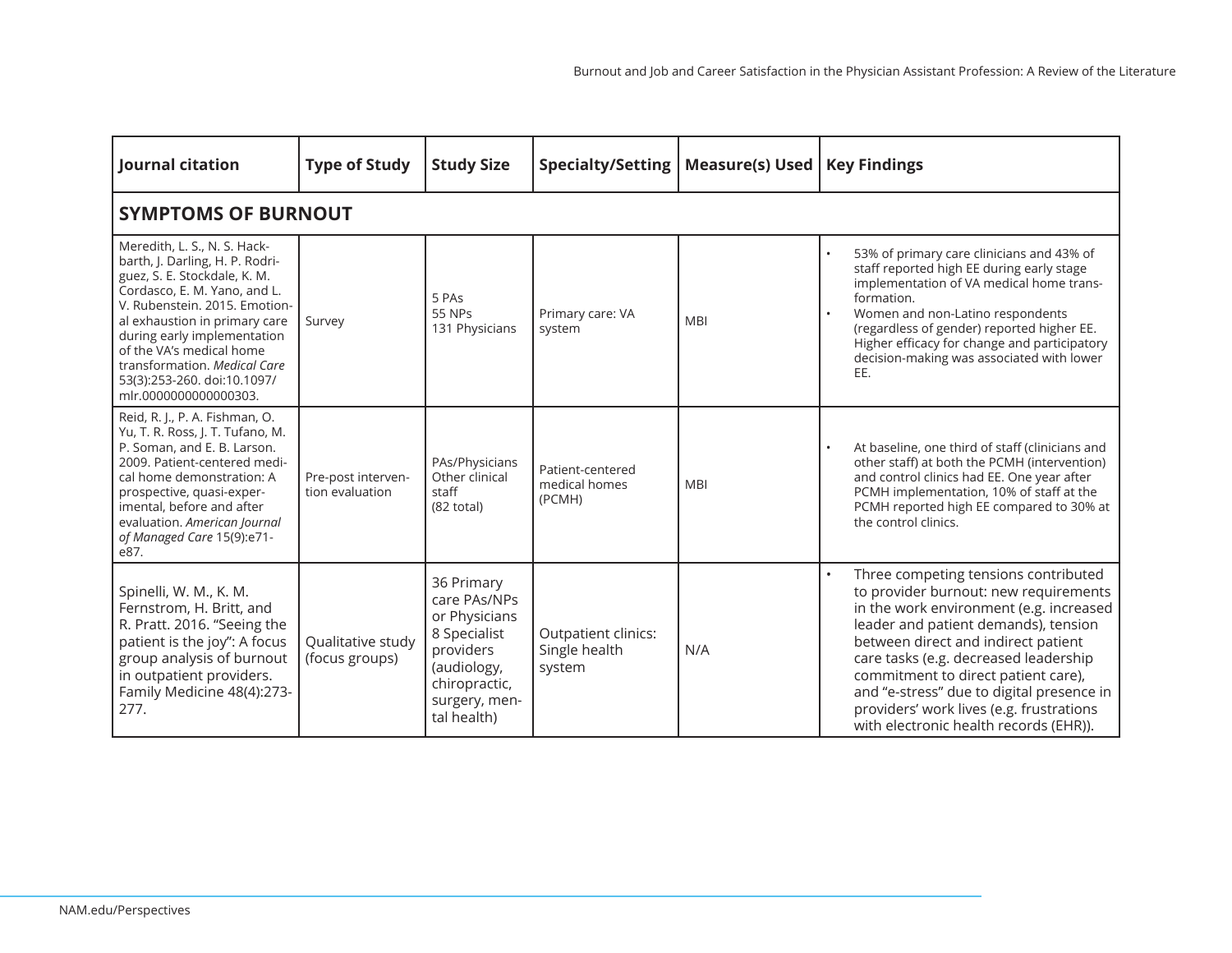| Journal citation                                                                                                                                                                                                                                                                                                                                     | <b>Type of Study</b>                  | <b>Study Size</b>                                                                                                                        | <b>Specialty/Setting</b>                       | <b>Measure(s) Used</b> | <b>Key Findings</b>                                                                                                                                                                                                                                                                                                                                                                                                        |  |  |  |  |  |  |
|------------------------------------------------------------------------------------------------------------------------------------------------------------------------------------------------------------------------------------------------------------------------------------------------------------------------------------------------------|---------------------------------------|------------------------------------------------------------------------------------------------------------------------------------------|------------------------------------------------|------------------------|----------------------------------------------------------------------------------------------------------------------------------------------------------------------------------------------------------------------------------------------------------------------------------------------------------------------------------------------------------------------------------------------------------------------------|--|--|--|--|--|--|
|                                                                                                                                                                                                                                                                                                                                                      | <b>SYMPTOMS OF BURNOUT</b>            |                                                                                                                                          |                                                |                        |                                                                                                                                                                                                                                                                                                                                                                                                                            |  |  |  |  |  |  |
| Meredith, L. S., N. S. Hack-<br>barth, J. Darling, H. P. Rodri-<br>guez, S. E. Stockdale, K. M.<br>Cordasco, E. M. Yano, and L.<br>V. Rubenstein, 2015. Emotion-<br>al exhaustion in primary care<br>during early implementation<br>of the VA's medical home<br>transformation. Medical Care<br>53(3):253-260. doi:10.1097/<br>mlr.0000000000000303. | Survey                                | 5 PAs<br>55 NPs<br>131 Physicians                                                                                                        | Primary care: VA<br>system                     | <b>MBI</b>             | 53% of primary care clinicians and 43% of<br>staff reported high EE during early stage<br>implementation of VA medical home trans-<br>formation.<br>Women and non-Latino respondents<br>(regardless of gender) reported higher EE.<br>Higher efficacy for change and participatory<br>decision-making was associated with lower<br>EE.                                                                                     |  |  |  |  |  |  |
| Reid, R. J., P. A. Fishman, O.<br>Yu, T. R. Ross, J. T. Tufano, M.<br>P. Soman, and E. B. Larson.<br>2009. Patient-centered medi-<br>cal home demonstration: A<br>prospective, quasi-exper-<br>imental, before and after<br>evaluation. American Journal<br>of Managed Care 15(9):e71-<br>e87.                                                       | Pre-post interven-<br>tion evaluation | PAs/Physicians<br>Other clinical<br>staff<br>$(82 \text{ total})$                                                                        | Patient-centered<br>medical homes<br>(PCMH)    | <b>MBI</b>             | At baseline, one third of staff (clinicians and<br>other staff) at both the PCMH (intervention)<br>and control clinics had EE. One year after<br>PCMH implementation, 10% of staff at the<br>PCMH reported high EE compared to 30% at<br>the control clinics.                                                                                                                                                              |  |  |  |  |  |  |
| Spinelli, W. M., K. M.<br>Fernstrom, H. Britt, and<br>R. Pratt. 2016. "Seeing the<br>patient is the joy": A focus<br>group analysis of burnout<br>in outpatient providers.<br>Family Medicine 48(4):273-<br>277.                                                                                                                                     | Qualitative study<br>(focus groups)   | 36 Primary<br>care PAs/NPs<br>or Physicians<br>8 Specialist<br>providers<br>(audiology,<br>chiropractic,<br>surgery, men-<br>tal health) | Outpatient clinics:<br>Single health<br>system | N/A                    | Three competing tensions contributed<br>to provider burnout: new requirements<br>in the work environment (e.g. increased<br>leader and patient demands), tension<br>between direct and indirect patient<br>care tasks (e.g. decreased leadership<br>commitment to direct patient care),<br>and "e-stress" due to digital presence in<br>providers' work lives (e.g. frustrations<br>with electronic health records (EHR)). |  |  |  |  |  |  |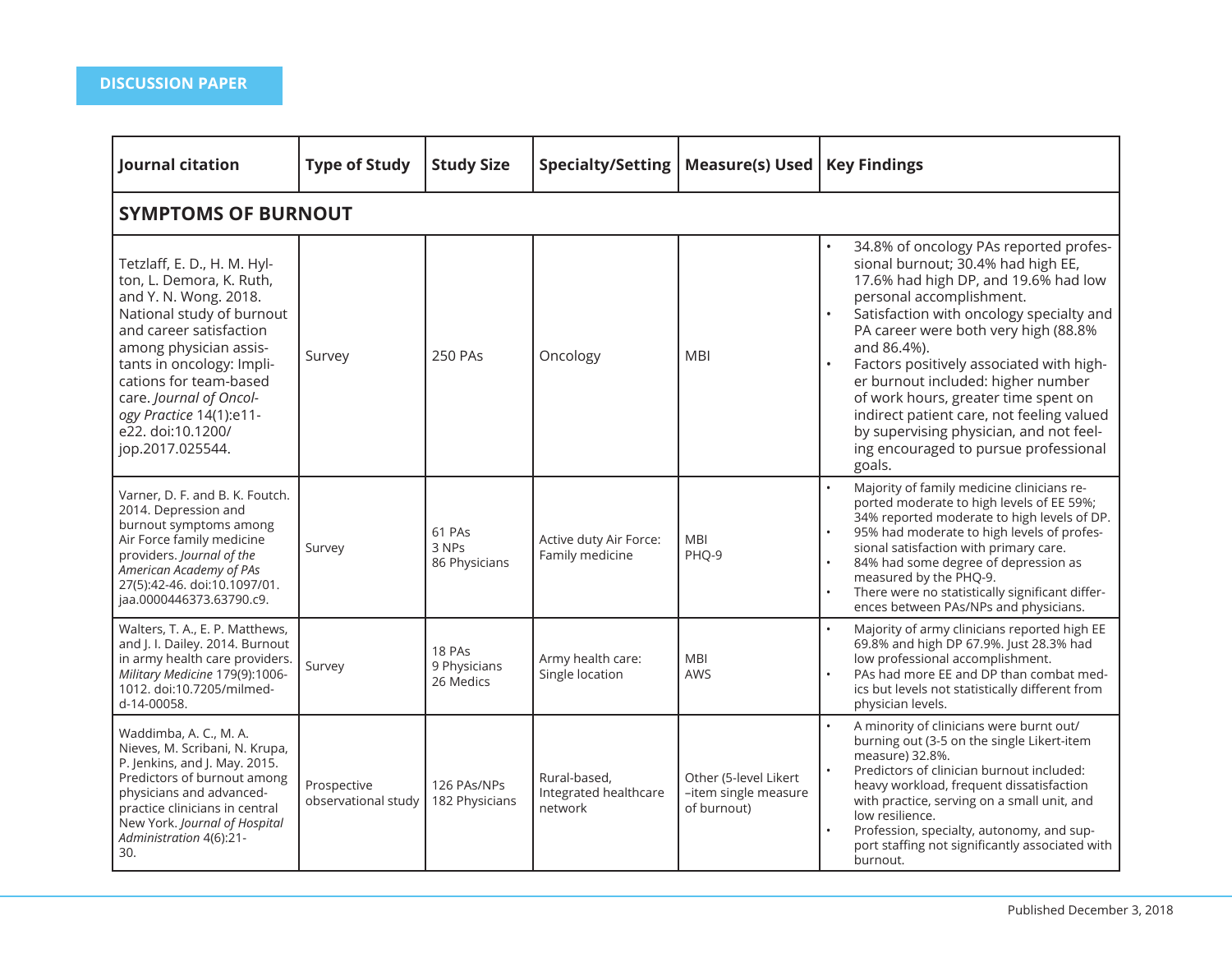| Journal citation                                                                                                                                                                                                                                                                                                         | <b>Type of Study</b>               | <b>Study Size</b>                   | <b>Specialty/Setting</b>                         | <b>Measure(s) Used</b>                                       | <b>Key Findings</b>                                                                                                                                                                                                                                                                                                                                                                                                                                                                                                                                |  |  |  |  |  |
|--------------------------------------------------------------------------------------------------------------------------------------------------------------------------------------------------------------------------------------------------------------------------------------------------------------------------|------------------------------------|-------------------------------------|--------------------------------------------------|--------------------------------------------------------------|----------------------------------------------------------------------------------------------------------------------------------------------------------------------------------------------------------------------------------------------------------------------------------------------------------------------------------------------------------------------------------------------------------------------------------------------------------------------------------------------------------------------------------------------------|--|--|--|--|--|
| <b>SYMPTOMS OF BURNOUT</b>                                                                                                                                                                                                                                                                                               |                                    |                                     |                                                  |                                                              |                                                                                                                                                                                                                                                                                                                                                                                                                                                                                                                                                    |  |  |  |  |  |
| Tetzlaff, E. D., H. M. Hyl-<br>ton, L. Demora, K. Ruth,<br>and Y. N. Wong. 2018.<br>National study of burnout<br>and career satisfaction<br>among physician assis-<br>tants in oncology: Impli-<br>cations for team-based<br>care. Journal of Oncol-<br>ogy Practice 14(1):e11-<br>e22. doi:10.1200/<br>jop.2017.025544. | Survey                             | <b>250 PAs</b>                      | Oncology                                         | <b>MBI</b>                                                   | 34.8% of oncology PAs reported profes-<br>sional burnout; 30.4% had high EE,<br>17.6% had high DP, and 19.6% had low<br>personal accomplishment.<br>Satisfaction with oncology specialty and<br>$\bullet$<br>PA career were both very high (88.8%<br>and 86.4%).<br>Factors positively associated with high-<br>$\bullet$<br>er burnout included: higher number<br>of work hours, greater time spent on<br>indirect patient care, not feeling valued<br>by supervising physician, and not feel-<br>ing encouraged to pursue professional<br>goals. |  |  |  |  |  |
| Varner, D. F. and B. K. Foutch.<br>2014. Depression and<br>burnout symptoms among<br>Air Force family medicine<br>providers. Journal of the<br>American Academy of PAs<br>27(5):42-46. doi:10.1097/01.<br>jaa.0000446373.63790.c9.                                                                                       | Survey                             | 61 PAs<br>3 NPs<br>86 Physicians    | Active duty Air Force:<br>Family medicine        | <b>MBI</b><br>PHQ-9                                          | Majority of family medicine clinicians re-<br>ported moderate to high levels of EE 59%;<br>34% reported moderate to high levels of DP.<br>95% had moderate to high levels of profes-<br>sional satisfaction with primary care.<br>84% had some degree of depression as<br>measured by the PHQ-9.<br>There were no statistically significant differ-<br>ences between PAs/NPs and physicians.                                                                                                                                                       |  |  |  |  |  |
| Walters, T. A., E. P. Matthews,<br>and J. I. Dailey. 2014. Burnout<br>in army health care providers.<br>Military Medicine 179(9):1006-<br>1012. doi:10.7205/milmed-<br>d-14-00058.                                                                                                                                       | Survey                             | 18 PAs<br>9 Physicians<br>26 Medics | Army health care:<br>Single location             | <b>MBI</b><br>AWS                                            | Majority of army clinicians reported high EE<br>69.8% and high DP 67.9%. Just 28.3% had<br>low professional accomplishment.<br>PAs had more EE and DP than combat med-<br>ics but levels not statistically different from<br>physician levels.                                                                                                                                                                                                                                                                                                     |  |  |  |  |  |
| Waddimba, A. C., M. A.<br>Nieves, M. Scribani, N. Krupa,<br>P. Jenkins, and J. May. 2015.<br>Predictors of burnout among<br>physicians and advanced-<br>practice clinicians in central<br>New York. Journal of Hospital<br>Administration 4(6):21-<br>30.                                                                | Prospective<br>observational study | 126 PAs/NPs<br>182 Physicians       | Rural-based,<br>Integrated healthcare<br>network | Other (5-level Likert<br>-item single measure<br>of burnout) | A minority of clinicians were burnt out/<br>burning out (3-5 on the single Likert-item<br>measure) 32.8%.<br>Predictors of clinician burnout included:<br>heavy workload, frequent dissatisfaction<br>with practice, serving on a small unit, and<br>low resilience.<br>Profession, specialty, autonomy, and sup-<br>port staffing not significantly associated with<br>burnout.                                                                                                                                                                   |  |  |  |  |  |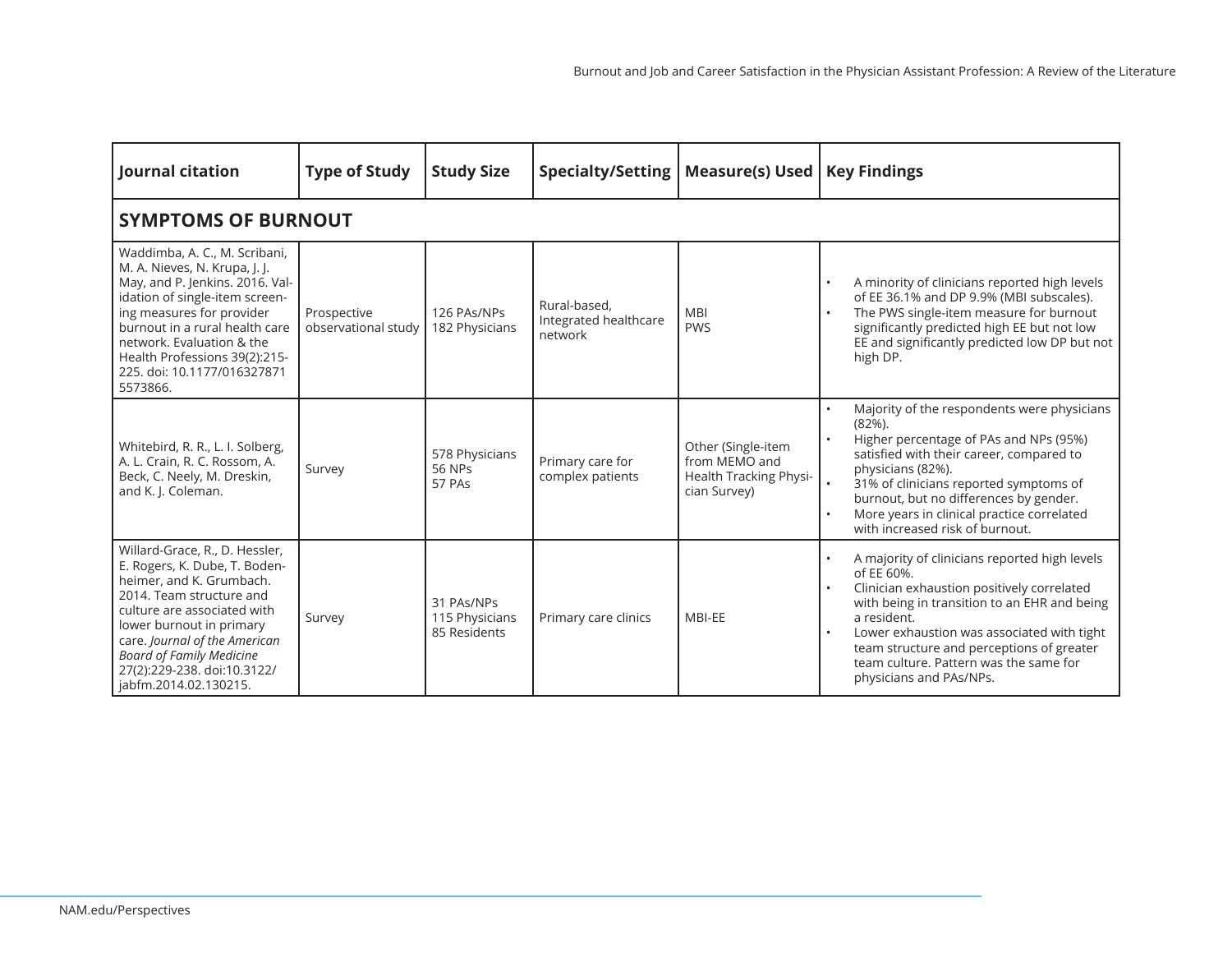| Journal citation                                                                                                                                                                                                                                                                                               | <b>Type of Study</b>               | <b>Study Size</b>                            | <b>Specialty/Setting</b>                         | <b>Measure(s) Used</b>                                                        | <b>Key Findings</b>                                                                                                                                                                                                                                                                                                                      |  |  |  |  |  |
|----------------------------------------------------------------------------------------------------------------------------------------------------------------------------------------------------------------------------------------------------------------------------------------------------------------|------------------------------------|----------------------------------------------|--------------------------------------------------|-------------------------------------------------------------------------------|------------------------------------------------------------------------------------------------------------------------------------------------------------------------------------------------------------------------------------------------------------------------------------------------------------------------------------------|--|--|--|--|--|
| <b>SYMPTOMS OF BURNOUT</b>                                                                                                                                                                                                                                                                                     |                                    |                                              |                                                  |                                                                               |                                                                                                                                                                                                                                                                                                                                          |  |  |  |  |  |
| Waddimba, A. C., M. Scribani,<br>M. A. Nieves, N. Krupa, J. J.<br>May, and P. Jenkins. 2016. Val-<br>idation of single-item screen-<br>ing measures for provider<br>burnout in a rural health care<br>network. Evaluation & the<br>Health Professions 39(2):215-<br>225. doi: 10.1177/016327871<br>5573866.    | Prospective<br>observational study | 126 PAs/NPs<br>182 Physicians                | Rural-based.<br>Integrated healthcare<br>network | <b>MBI</b><br><b>PWS</b>                                                      | A minority of clinicians reported high levels<br>of EE 36.1% and DP 9.9% (MBI subscales).<br>The PWS single-item measure for burnout<br>significantly predicted high EE but not low<br>EE and significantly predicted low DP but not<br>high DP.                                                                                         |  |  |  |  |  |
| Whitebird, R. R., L. I. Solberg,<br>A. L. Crain, R. C. Rossom, A.<br>Beck, C. Neely, M. Dreskin,<br>and K. J. Coleman.                                                                                                                                                                                         | Survey                             | 578 Physicians<br>56 NPs<br>57 PAs           | Primary care for<br>complex patients             | Other (Single-item<br>from MEMO and<br>Health Tracking Physi-<br>cian Survey) | Majority of the respondents were physicians<br>$(82%)$ .<br>Higher percentage of PAs and NPs (95%)<br>satisfied with their career, compared to<br>physicians (82%).<br>31% of clinicians reported symptoms of<br>burnout, but no differences by gender.<br>More years in clinical practice correlated<br>with increased risk of burnout. |  |  |  |  |  |
| Willard-Grace, R., D. Hessler,<br>E. Rogers, K. Dube, T. Boden-<br>heimer, and K. Grumbach.<br>2014. Team structure and<br>culture are associated with<br>lower burnout in primary<br>care. Journal of the American<br><b>Board of Family Medicine</b><br>27(2):229-238. doi:10.3122/<br>jabfm.2014.02.130215. | Survey                             | 31 PAs/NPs<br>115 Physicians<br>85 Residents | Primary care clinics                             | MBI-EE                                                                        | A majority of clinicians reported high levels<br>of EE 60%.<br>Clinician exhaustion positively correlated<br>with being in transition to an EHR and being<br>a resident.<br>Lower exhaustion was associated with tight<br>team structure and perceptions of greater<br>team culture. Pattern was the same for<br>physicians and PAs/NPs. |  |  |  |  |  |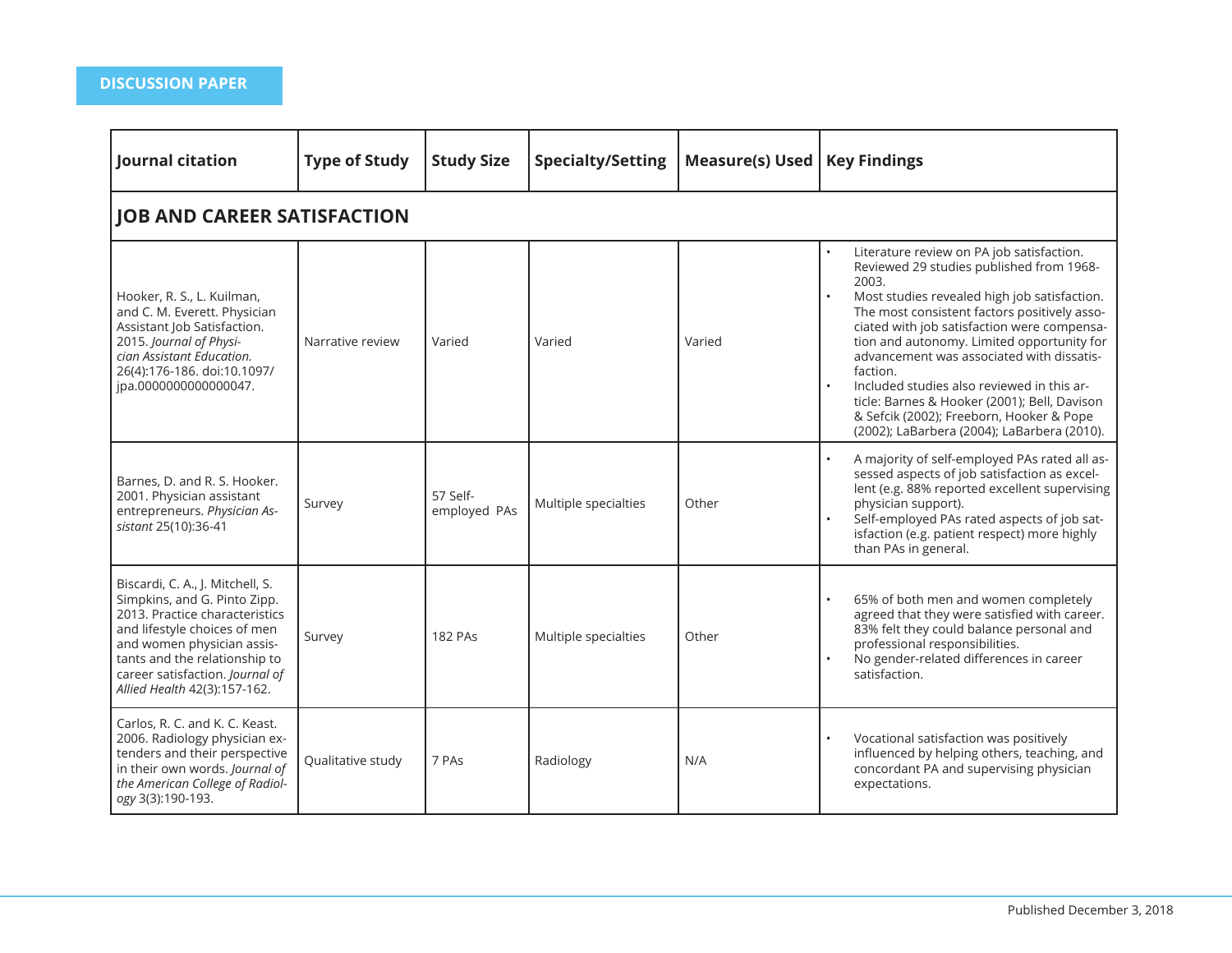| Journal citation                                                                                                                                                                                                                                                     | <b>Type of Study</b> | <b>Study Size</b>        | <b>Specialty/Setting</b> | <b>Measure(s) Used</b> | <b>Key Findings</b>                                                                                                                                                                                                                                                                                                                                                                                                                                                                                                                           |  |  |  |  |  |
|----------------------------------------------------------------------------------------------------------------------------------------------------------------------------------------------------------------------------------------------------------------------|----------------------|--------------------------|--------------------------|------------------------|-----------------------------------------------------------------------------------------------------------------------------------------------------------------------------------------------------------------------------------------------------------------------------------------------------------------------------------------------------------------------------------------------------------------------------------------------------------------------------------------------------------------------------------------------|--|--|--|--|--|
| <b>JOB AND CAREER SATISFACTION</b>                                                                                                                                                                                                                                   |                      |                          |                          |                        |                                                                                                                                                                                                                                                                                                                                                                                                                                                                                                                                               |  |  |  |  |  |
| Hooker, R. S., L. Kuilman,<br>and C. M. Everett. Physician<br>Assistant Job Satisfaction.<br>2015. Journal of Physi-<br>cian Assistant Education.<br>26(4):176-186. doi:10.1097/<br>ipa.0000000000000047.                                                            | Narrative review     | Varied                   | Varied                   | Varied                 | Literature review on PA job satisfaction.<br>Reviewed 29 studies published from 1968-<br>2003.<br>Most studies revealed high job satisfaction.<br>The most consistent factors positively asso-<br>ciated with job satisfaction were compensa-<br>tion and autonomy. Limited opportunity for<br>advancement was associated with dissatis-<br>faction.<br>Included studies also reviewed in this ar-<br>ticle: Barnes & Hooker (2001); Bell, Davison<br>& Sefcik (2002); Freeborn, Hooker & Pope<br>(2002); LaBarbera (2004); LaBarbera (2010). |  |  |  |  |  |
| Barnes, D. and R. S. Hooker.<br>2001. Physician assistant<br>entrepreneurs. Physician As-<br>sistant 25(10):36-41                                                                                                                                                    | Survey               | 57 Self-<br>employed PAs | Multiple specialties     | Other                  | A majority of self-employed PAs rated all as-<br>sessed aspects of job satisfaction as excel-<br>lent (e.g. 88% reported excellent supervising<br>physician support).<br>Self-employed PAs rated aspects of job sat-<br>isfaction (e.g. patient respect) more highly<br>than PAs in general.                                                                                                                                                                                                                                                  |  |  |  |  |  |
| Biscardi, C. A., J. Mitchell, S.<br>Simpkins, and G. Pinto Zipp.<br>2013. Practice characteristics<br>and lifestyle choices of men<br>and women physician assis-<br>tants and the relationship to<br>career satisfaction. Journal of<br>Allied Health 42(3):157-162. | Survey               | <b>182 PAs</b>           | Multiple specialties     | Other                  | 65% of both men and women completely<br>agreed that they were satisfied with career.<br>83% felt they could balance personal and<br>professional responsibilities.<br>No gender-related differences in career<br>satisfaction.                                                                                                                                                                                                                                                                                                                |  |  |  |  |  |
| Carlos, R. C. and K. C. Keast.<br>2006. Radiology physician ex-<br>tenders and their perspective<br>in their own words. Journal of<br>the American College of Radiol-<br>ogy 3(3):190-193.                                                                           | Qualitative study    | 7 PAs                    | Radiology                | N/A                    | Vocational satisfaction was positively<br>influenced by helping others, teaching, and<br>concordant PA and supervising physician<br>expectations.                                                                                                                                                                                                                                                                                                                                                                                             |  |  |  |  |  |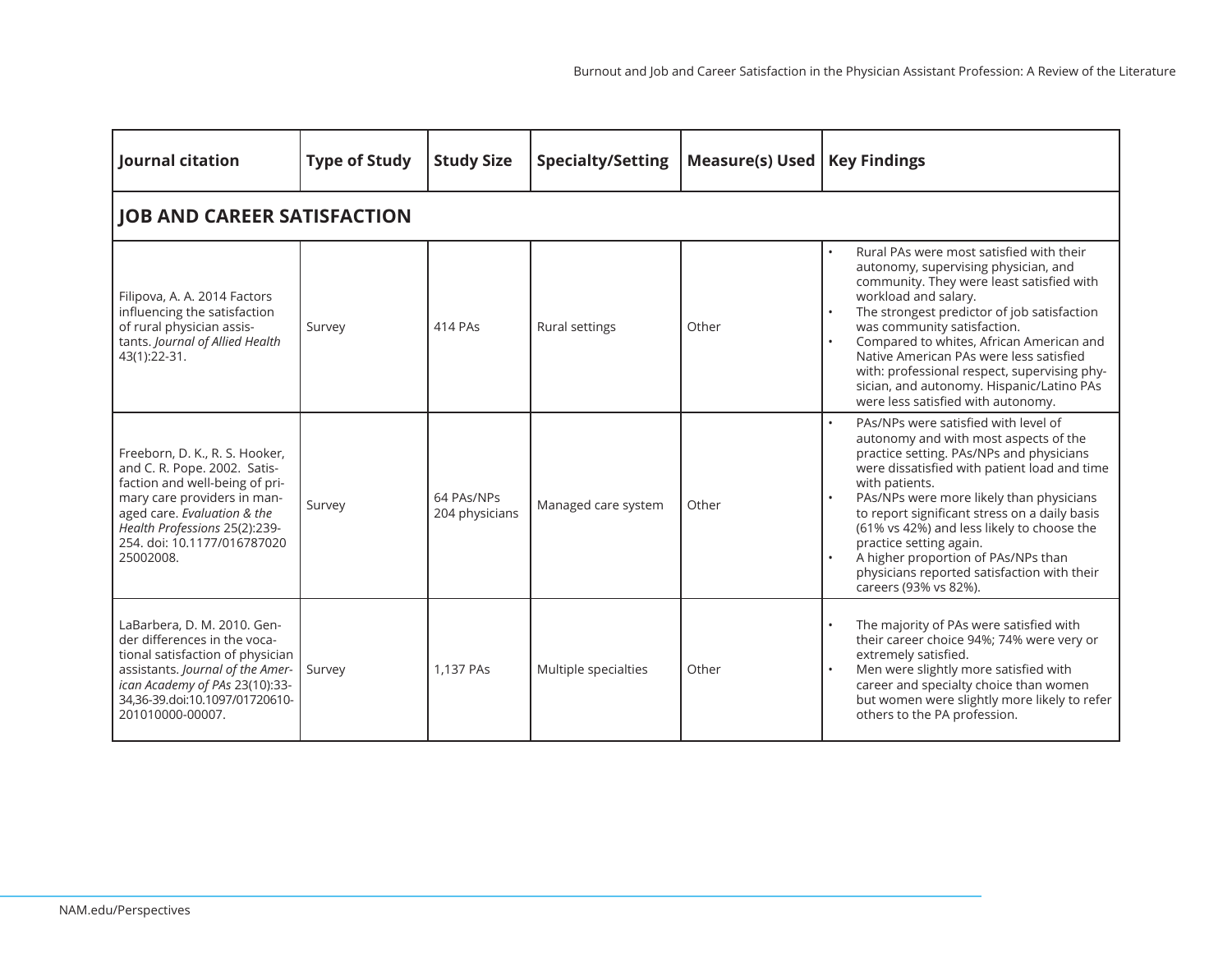| Journal citation                                                                                                                                                                                                                            | <b>Type of Study</b>               | <b>Study Size</b>            | <b>Specialty/Setting</b> | Measure(s) Used | <b>Key Findings</b>                                                                                                                                                                                                                                                                                                                                                                                                                                                              |  |  |  |  |  |  |
|---------------------------------------------------------------------------------------------------------------------------------------------------------------------------------------------------------------------------------------------|------------------------------------|------------------------------|--------------------------|-----------------|----------------------------------------------------------------------------------------------------------------------------------------------------------------------------------------------------------------------------------------------------------------------------------------------------------------------------------------------------------------------------------------------------------------------------------------------------------------------------------|--|--|--|--|--|--|
|                                                                                                                                                                                                                                             | <b>JOB AND CAREER SATISFACTION</b> |                              |                          |                 |                                                                                                                                                                                                                                                                                                                                                                                                                                                                                  |  |  |  |  |  |  |
| Filipova, A. A. 2014 Factors<br>influencing the satisfaction<br>of rural physician assis-<br>tants. Journal of Allied Health<br>43(1):22-31.                                                                                                | Survey                             | 414 PAs                      | Rural settings           | Other           | Rural PAs were most satisfied with their<br>autonomy, supervising physician, and<br>community. They were least satisfied with<br>workload and salary.<br>The strongest predictor of job satisfaction<br>was community satisfaction.<br>Compared to whites, African American and<br>Native American PAs were less satisfied<br>with: professional respect, supervising phy-<br>sician, and autonomy. Hispanic/Latino PAs<br>were less satisfied with autonomy.                    |  |  |  |  |  |  |
| Freeborn, D. K., R. S. Hooker,<br>and C. R. Pope. 2002. Satis-<br>faction and well-being of pri-<br>mary care providers in man-<br>aged care. Evaluation & the<br>Health Professions 25(2):239-<br>254. doi: 10.1177/016787020<br>25002008. | Survey                             | 64 PAs/NPs<br>204 physicians | Managed care system      | Other           | PAs/NPs were satisfied with level of<br>autonomy and with most aspects of the<br>practice setting. PAs/NPs and physicians<br>were dissatisfied with patient load and time<br>with patients.<br>PAs/NPs were more likely than physicians<br>to report significant stress on a daily basis<br>(61% vs 42%) and less likely to choose the<br>practice setting again.<br>A higher proportion of PAs/NPs than<br>physicians reported satisfaction with their<br>careers (93% vs 82%). |  |  |  |  |  |  |
| LaBarbera, D. M. 2010. Gen-<br>der differences in the voca-<br>tional satisfaction of physician<br>assistants. Journal of the Amer-<br>ican Academy of PAs 23(10):33-<br>34,36-39.doi:10.1097/01720610-<br>201010000-00007.                 | Survey                             | 1.137 PAs                    | Multiple specialties     | Other           | The majority of PAs were satisfied with<br>their career choice 94%; 74% were very or<br>extremely satisfied.<br>Men were slightly more satisfied with<br>career and specialty choice than women<br>but women were slightly more likely to refer<br>others to the PA profession.                                                                                                                                                                                                  |  |  |  |  |  |  |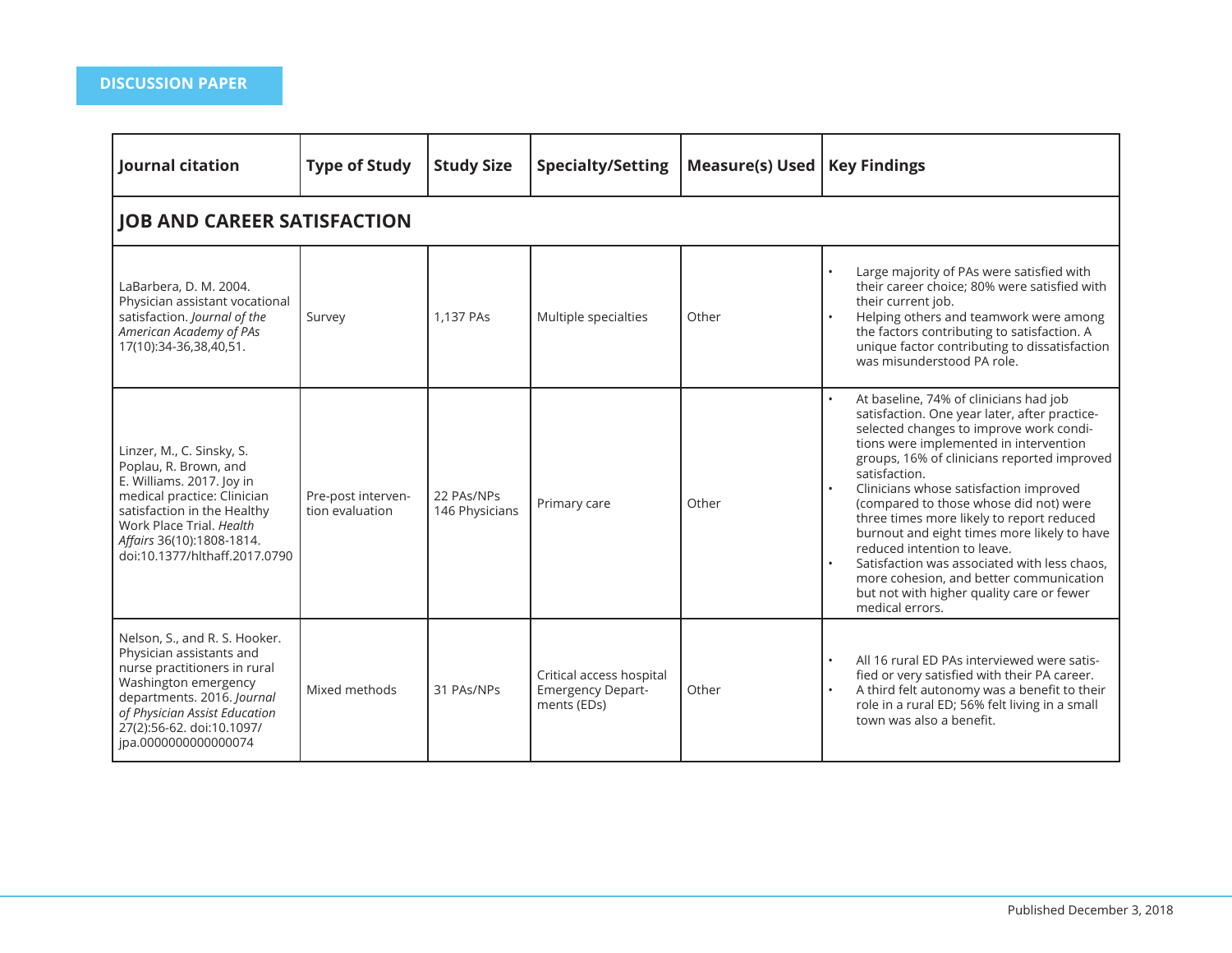| Journal citation                                                                                                                                                                                                                        | <b>Type of Study</b>                  | <b>Study Size</b>            | <b>Specialty/Setting</b>                                            | Measure(s) Used | <b>Key Findings</b>                                                                                                                                                                                                                                                                                                                                                                                                                                                                                                                                                                                                    |  |  |  |  |  |
|-----------------------------------------------------------------------------------------------------------------------------------------------------------------------------------------------------------------------------------------|---------------------------------------|------------------------------|---------------------------------------------------------------------|-----------------|------------------------------------------------------------------------------------------------------------------------------------------------------------------------------------------------------------------------------------------------------------------------------------------------------------------------------------------------------------------------------------------------------------------------------------------------------------------------------------------------------------------------------------------------------------------------------------------------------------------------|--|--|--|--|--|
| <b>JOB AND CAREER SATISFACTION</b>                                                                                                                                                                                                      |                                       |                              |                                                                     |                 |                                                                                                                                                                                                                                                                                                                                                                                                                                                                                                                                                                                                                        |  |  |  |  |  |
| LaBarbera, D. M. 2004.<br>Physician assistant vocational<br>satisfaction. Journal of the<br>American Academy of PAs<br>17(10):34-36,38,40,51.                                                                                           | Survey                                | 1,137 PAs                    | Multiple specialties                                                | Other           | Large majority of PAs were satisfied with<br>their career choice; 80% were satisfied with<br>their current job.<br>Helping others and teamwork were among<br>the factors contributing to satisfaction. A<br>unique factor contributing to dissatisfaction<br>was misunderstood PA role.                                                                                                                                                                                                                                                                                                                                |  |  |  |  |  |
| Linzer, M., C. Sinsky, S.<br>Poplau, R. Brown, and<br>E. Williams. 2017. Joy in<br>medical practice: Clinician<br>satisfaction in the Healthy<br>Work Place Trial. Health<br>Affairs 36(10):1808-1814.<br>doi:10.1377/hlthaff.2017.0790 | Pre-post interven-<br>tion evaluation | 22 PAs/NPs<br>146 Physicians | Primary care                                                        | Other           | At baseline, 74% of clinicians had job<br>satisfaction. One year later, after practice-<br>selected changes to improve work condi-<br>tions were implemented in intervention<br>groups, 16% of clinicians reported improved<br>satisfaction.<br>Clinicians whose satisfaction improved<br>(compared to those whose did not) were<br>three times more likely to report reduced<br>burnout and eight times more likely to have<br>reduced intention to leave.<br>Satisfaction was associated with less chaos.<br>more cohesion, and better communication<br>but not with higher quality care or fewer<br>medical errors. |  |  |  |  |  |
| Nelson, S., and R. S. Hooker.<br>Physician assistants and<br>nurse practitioners in rural<br>Washington emergency<br>departments. 2016. Journal<br>of Physician Assist Education<br>27(2):56-62. doi:10.1097/<br>jpa.0000000000000074   | Mixed methods                         | 31 PAs/NPs                   | Critical access hospital<br><b>Emergency Depart-</b><br>ments (EDs) | Other           | All 16 rural ED PAs interviewed were satis-<br>fied or very satisfied with their PA career.<br>A third felt autonomy was a benefit to their<br>role in a rural ED; 56% felt living in a small<br>town was also a benefit.                                                                                                                                                                                                                                                                                                                                                                                              |  |  |  |  |  |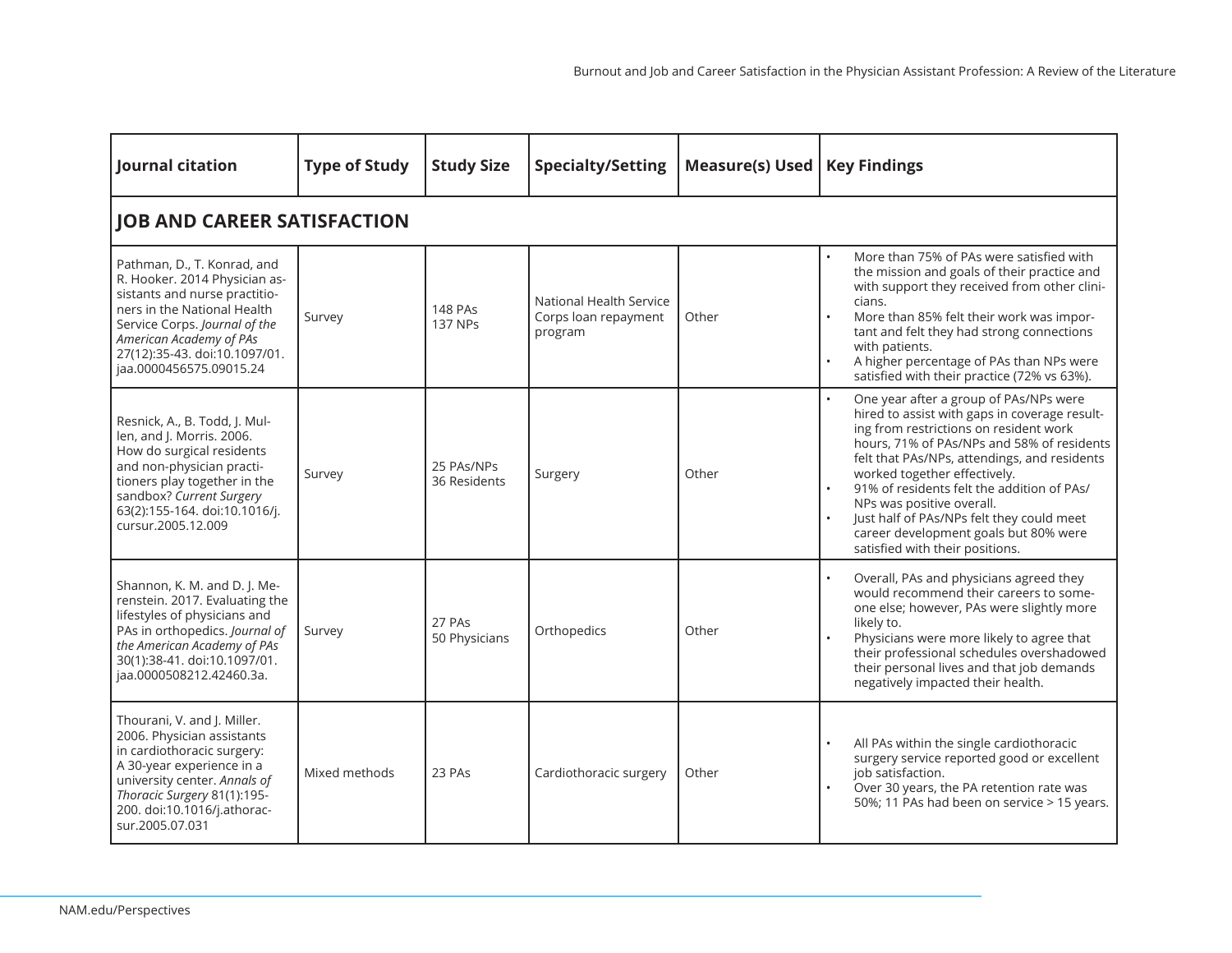| Journal citation                                                                                                                                                                                                                                     | <b>Type of Study</b>               | <b>Study Size</b>                | <b>Specialty/Setting</b>                                   | <b>Measure(s) Used</b> | <b>Key Findings</b>                                                                                                                                                                                                                                                                                                                                                                                                                                                 |  |  |  |  |  |  |
|------------------------------------------------------------------------------------------------------------------------------------------------------------------------------------------------------------------------------------------------------|------------------------------------|----------------------------------|------------------------------------------------------------|------------------------|---------------------------------------------------------------------------------------------------------------------------------------------------------------------------------------------------------------------------------------------------------------------------------------------------------------------------------------------------------------------------------------------------------------------------------------------------------------------|--|--|--|--|--|--|
|                                                                                                                                                                                                                                                      | <b>JOB AND CAREER SATISFACTION</b> |                                  |                                                            |                        |                                                                                                                                                                                                                                                                                                                                                                                                                                                                     |  |  |  |  |  |  |
| Pathman, D., T. Konrad, and<br>R. Hooker. 2014 Physician as-<br>sistants and nurse practitio-<br>ners in the National Health<br>Service Corps. Journal of the<br>American Academy of PAs<br>27(12):35-43. doi:10.1097/01.<br>jaa.0000456575.09015.24 | Survey                             | <b>148 PAs</b><br><b>137 NPs</b> | National Health Service<br>Corps loan repayment<br>program | Other                  | More than 75% of PAs were satisfied with<br>the mission and goals of their practice and<br>with support they received from other clini-<br>cians.<br>More than 85% felt their work was impor-<br>tant and felt they had strong connections<br>with patients.<br>A higher percentage of PAs than NPs were<br>satisfied with their practice (72% vs 63%).                                                                                                             |  |  |  |  |  |  |
| Resnick, A., B. Todd, J. Mul-<br>len, and J. Morris. 2006.<br>How do surgical residents<br>and non-physician practi-<br>tioners play together in the<br>sandbox? Current Surgery<br>63(2):155-164. doi:10.1016/j.<br>cursur.2005.12.009              | Survey                             | 25 PAs/NPs<br>36 Residents       | Surgery                                                    | Other                  | One year after a group of PAs/NPs were<br>hired to assist with gaps in coverage result-<br>ing from restrictions on resident work<br>hours, 71% of PAs/NPs and 58% of residents<br>felt that PAs/NPs, attendings, and residents<br>worked together effectively.<br>91% of residents felt the addition of PAs/<br>NPs was positive overall.<br>Just half of PAs/NPs felt they could meet<br>career development goals but 80% were<br>satisfied with their positions. |  |  |  |  |  |  |
| Shannon, K. M. and D. J. Me-<br>renstein. 2017. Evaluating the<br>lifestyles of physicians and<br>PAs in orthopedics. Journal of<br>the American Academy of PAs<br>30(1):38-41. doi:10.1097/01.<br>jaa.0000508212.42460.3a.                          | Survey                             | 27 PAs<br>50 Physicians          | Orthopedics                                                | Other                  | Overall, PAs and physicians agreed they<br>would recommend their careers to some-<br>one else; however, PAs were slightly more<br>likely to.<br>Physicians were more likely to agree that<br>their professional schedules overshadowed<br>their personal lives and that job demands<br>negatively impacted their health.                                                                                                                                            |  |  |  |  |  |  |
| Thourani, V. and J. Miller.<br>2006. Physician assistants<br>in cardiothoracic surgery:<br>A 30-year experience in a<br>university center. Annals of<br>Thoracic Surgery 81(1):195-<br>200. doi:10.1016/j.athorac-<br>sur.2005.07.031                | Mixed methods                      | 23 PAs                           | Cardiothoracic surgery                                     | Other                  | All PAs within the single cardiothoracic<br>surgery service reported good or excellent<br>job satisfaction.<br>Over 30 years, the PA retention rate was<br>50%; 11 PAs had been on service > 15 years.                                                                                                                                                                                                                                                              |  |  |  |  |  |  |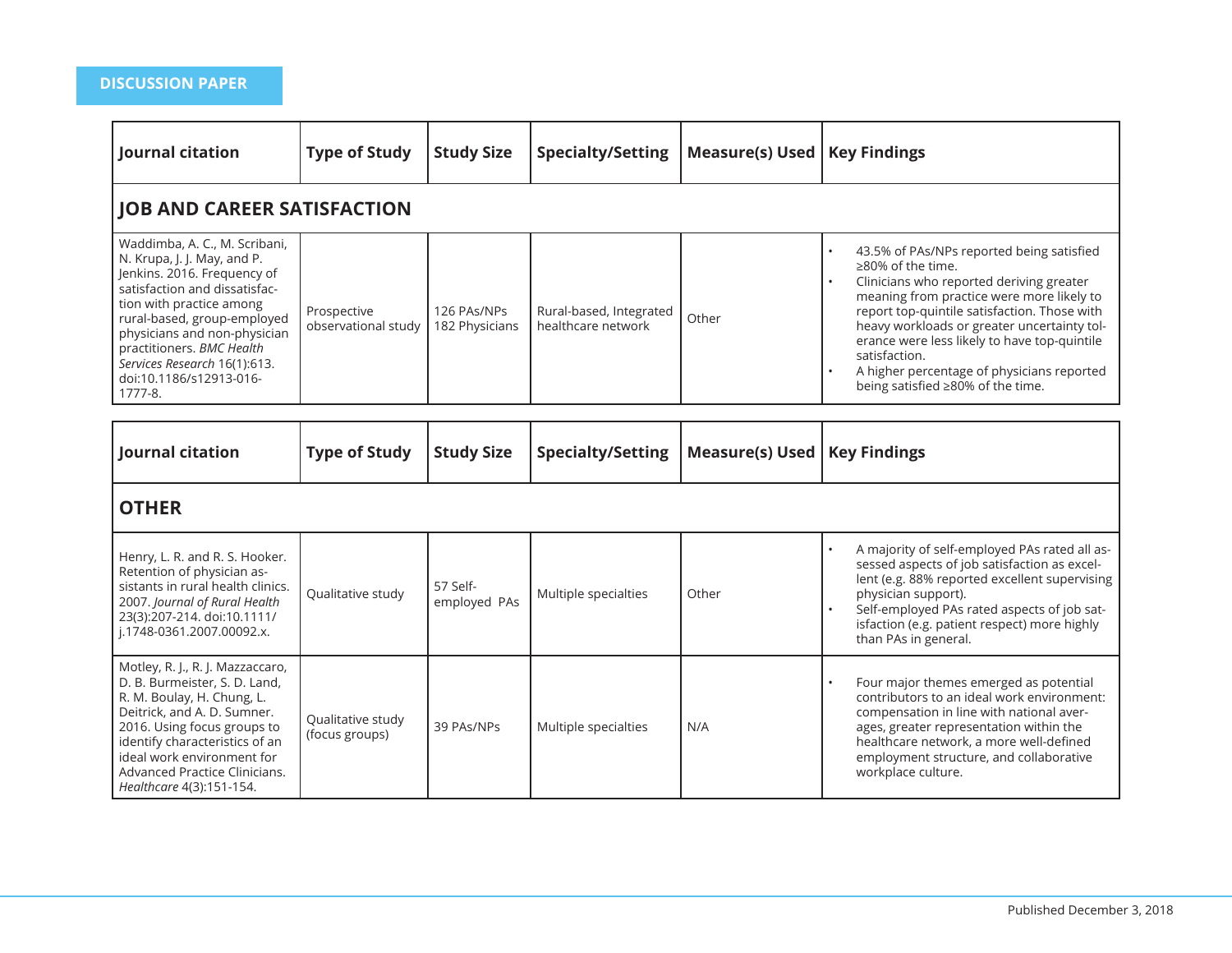| Journal citation                                                                                                                                                                                                                                                                                                           | <b>Type of Study</b>                | <b>Study Size</b>             | <b>Specialty/Setting</b>                      | <b>Measure(s) Used</b> | <b>Key Findings</b>                                                                                                                                                                                                                                                                                                                                                                                                                                          |  |  |  |  |  |
|----------------------------------------------------------------------------------------------------------------------------------------------------------------------------------------------------------------------------------------------------------------------------------------------------------------------------|-------------------------------------|-------------------------------|-----------------------------------------------|------------------------|--------------------------------------------------------------------------------------------------------------------------------------------------------------------------------------------------------------------------------------------------------------------------------------------------------------------------------------------------------------------------------------------------------------------------------------------------------------|--|--|--|--|--|
| <b>JOB AND CAREER SATISFACTION</b>                                                                                                                                                                                                                                                                                         |                                     |                               |                                               |                        |                                                                                                                                                                                                                                                                                                                                                                                                                                                              |  |  |  |  |  |
| Waddimba, A. C., M. Scribani,<br>N. Krupa, J. J. May, and P.<br>Jenkins. 2016. Frequency of<br>satisfaction and dissatisfac-<br>tion with practice among<br>rural-based, group-employed<br>physicians and non-physician<br>practitioners. BMC Health<br>Services Research 16(1):613.<br>doi:10.1186/s12913-016-<br>1777-8. | Prospective<br>observational study  | 126 PAs/NPs<br>182 Physicians | Rural-based, Integrated<br>healthcare network | Other                  | 43.5% of PAs/NPs reported being satisfied<br>$\bullet$<br>≥80% of the time.<br>$\ddot{\phantom{0}}$<br>Clinicians who reported deriving greater<br>meaning from practice were more likely to<br>report top-quintile satisfaction. Those with<br>heavy workloads or greater uncertainty tol-<br>erance were less likely to have top-quintile<br>satisfaction.<br>A higher percentage of physicians reported<br>$\bullet$<br>being satisfied ≥80% of the time. |  |  |  |  |  |
| Journal citation                                                                                                                                                                                                                                                                                                           | <b>Type of Study</b>                | <b>Study Size</b>             | <b>Specialty/Setting</b>                      | <b>Measure(s) Used</b> | <b>Key Findings</b>                                                                                                                                                                                                                                                                                                                                                                                                                                          |  |  |  |  |  |
| <b>OTHER</b>                                                                                                                                                                                                                                                                                                               |                                     |                               |                                               |                        |                                                                                                                                                                                                                                                                                                                                                                                                                                                              |  |  |  |  |  |
| Henry, L. R. and R. S. Hooker.<br>Retention of physician as-<br>sistants in rural health clinics.<br>2007. Journal of Rural Health<br>23(3):207-214. doi:10.1111/<br>j.1748-0361.2007.00092.x.                                                                                                                             | Qualitative study                   | 57 Self-<br>employed PAs      | Multiple specialties                          | Other                  | A majority of self-employed PAs rated all as-<br>$\bullet$<br>sessed aspects of job satisfaction as excel-<br>lent (e.g. 88% reported excellent supervising<br>physician support).<br>Self-employed PAs rated aspects of job sat-<br>isfaction (e.g. patient respect) more highly<br>than PAs in general.                                                                                                                                                    |  |  |  |  |  |
| Motley, R. J., R. J. Mazzaccaro,<br>D. B. Burmeister, S. D. Land,<br>R. M. Boulay, H. Chung, L.<br>Deitrick, and A. D. Sumner.<br>2016. Using focus groups to<br>identify characteristics of an<br>ideal work environment for<br>Advanced Practice Clinicians.<br>Healthcare 4(3):151-154.                                 | Qualitative study<br>(focus groups) | 39 PAs/NPs                    | Multiple specialties                          | N/A                    | Four major themes emerged as potential<br>contributors to an ideal work environment:<br>compensation in line with national aver-<br>ages, greater representation within the<br>healthcare network, a more well-defined<br>employment structure, and collaborative<br>workplace culture.                                                                                                                                                                      |  |  |  |  |  |